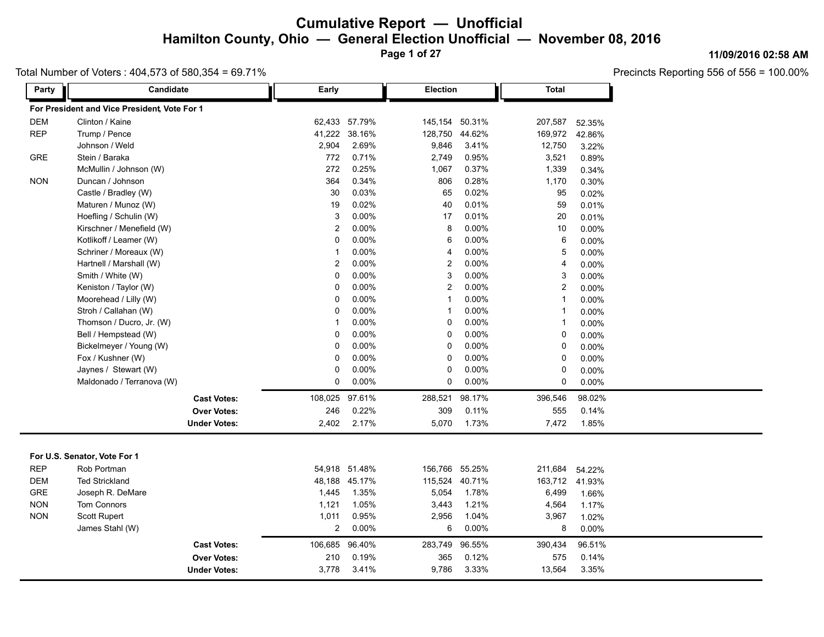**Page 1 of 27**

### Total Number of Voters : 404,573 of 580,354 = 69.71%

Precincts Reporting 556 of 556 = 100.00%

**11/09/2016 02:58 AM**

| Party      | Candidate                                    | Early          |                | <b>Election</b> |          | <b>Total</b> |          |
|------------|----------------------------------------------|----------------|----------------|-----------------|----------|--------------|----------|
|            | For President and Vice President, Vote For 1 |                |                |                 |          |              |          |
| <b>DEM</b> | Clinton / Kaine                              | 62,433         | 57.79%         | 145,154         | 50.31%   | 207,587      | 52.35%   |
| <b>REP</b> | Trump / Pence                                | 41,222         | 38.16%         | 128,750         | 44.62%   | 169,972      | 42.86%   |
|            | Johnson / Weld                               | 2,904          | 2.69%          | 9,846           | 3.41%    | 12,750       | 3.22%    |
| GRE        | Stein / Baraka                               | 772            | 0.71%          | 2,749           | 0.95%    | 3,521        | 0.89%    |
|            | McMullin / Johnson (W)                       | 272            | 0.25%          | 1,067           | 0.37%    | 1,339        | 0.34%    |
| <b>NON</b> | Duncan / Johnson                             | 364            | 0.34%          | 806             | 0.28%    | 1,170        | 0.30%    |
|            | Castle / Bradley (W)                         | 30             | 0.03%          | 65              | 0.02%    | 95           | 0.02%    |
|            | Maturen / Munoz (W)                          | 19             | 0.02%          | 40              | 0.01%    | 59           | 0.01%    |
|            | Hoefling / Schulin (W)                       | 3              | 0.00%          | 17              | 0.01%    | 20           | 0.01%    |
|            | Kirschner / Menefield (W)                    | 2              | $0.00\%$       | 8               | 0.00%    | 10           | 0.00%    |
|            | Kotlikoff / Leamer (W)                       | 0              | $0.00\%$       | 6               | 0.00%    | 6            | 0.00%    |
|            | Schriner / Moreaux (W)                       | 1              | $0.00\%$       | $\overline{4}$  | $0.00\%$ | 5            | 0.00%    |
|            | Hartnell / Marshall (W)                      | 2              | 0.00%          | $\overline{2}$  | 0.00%    | 4            | 0.00%    |
|            | Smith / White (W)                            | 0              | 0.00%          | 3               | 0.00%    | 3            | 0.00%    |
|            | Keniston / Taylor (W)                        | 0              | 0.00%          | $\overline{2}$  | 0.00%    | 2            | 0.00%    |
|            | Moorehead / Lilly (W)                        | 0              | 0.00%          | $\mathbf{1}$    | 0.00%    | $\mathbf{1}$ | 0.00%    |
|            | Stroh / Callahan (W)                         | 0              | 0.00%          | $\overline{1}$  | 0.00%    | $\mathbf{1}$ | 0.00%    |
|            | Thomson / Ducro, Jr. (W)                     | $\overline{1}$ | 0.00%          | $\mathbf 0$     | 0.00%    | $\mathbf{1}$ | 0.00%    |
|            | Bell / Hempstead (W)                         | 0              | $0.00\%$       | 0               | 0.00%    | 0            | 0.00%    |
|            | Bickelmeyer / Young (W)                      | 0              | 0.00%          | 0               | 0.00%    | 0            | 0.00%    |
|            | Fox / Kushner (W)                            | 0              | 0.00%          | $\mathbf 0$     | 0.00%    | 0            | 0.00%    |
|            | Jaynes / Stewart (W)                         | 0              | 0.00%          | $\mathbf 0$     | 0.00%    | 0            | 0.00%    |
|            | Maldonado / Terranova (W)                    | 0              | $0.00\%$       | $\mathbf 0$     | 0.00%    | 0            | $0.00\%$ |
|            | <b>Cast Votes:</b>                           |                | 108,025 97.61% | 288,521         | 98.17%   | 396,546      | 98.02%   |
|            | <b>Over Votes:</b>                           | 246            | 0.22%          | 309             | 0.11%    | 555          | 0.14%    |
|            | <b>Under Votes:</b>                          | 2,402          | 2.17%          | 5,070           | 1.73%    | 7,472        | 1.85%    |
|            |                                              |                |                |                 |          |              |          |
|            | For U.S. Senator, Vote For 1                 |                |                |                 |          |              |          |
| <b>REP</b> | Rob Portman                                  |                | 54,918 51.48%  | 156,766         | 55.25%   | 211,684      | 54.22%   |
| <b>DEM</b> | <b>Ted Strickland</b>                        |                | 48,188 45.17%  | 115,524         | 40.71%   | 163,712      | 41.93%   |
| GRE        | Joseph R. DeMare                             | 1,445          | 1.35%          | 5,054           | 1.78%    | 6,499        | 1.66%    |
| <b>NON</b> | Tom Connors                                  | 1,121          | 1.05%          | 3,443           | 1.21%    | 4,564        | 1.17%    |
| <b>NON</b> | Scott Rupert                                 | 1,011          | 0.95%          | 2,956           | 1.04%    | 3,967        | 1.02%    |
|            | James Stahl (W)                              | $\overline{a}$ | $0.00\%$       | 6               | 0.00%    | 8            | 0.00%    |
|            | <b>Cast Votes:</b>                           | 106,685        | 96.40%         | 283,749         | 96.55%   | 390,434      | 96.51%   |
|            | <b>Over Votes:</b>                           | 210            | 0.19%          | 365             | 0.12%    | 575          | 0.14%    |
|            | <b>Under Votes:</b>                          | 3,778          | 3.41%          | 9,786           | 3.33%    | 13,564       | 3.35%    |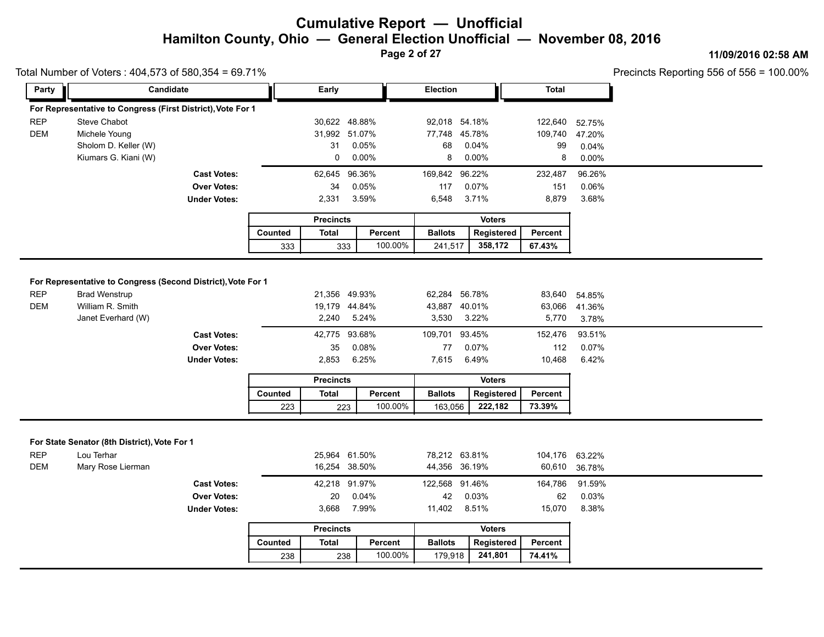**Page 2 of 27**

#### **11/09/2016 02:58 AM**

|                          |                                                             |                                                                 |                | Total Number of Voters: 404,573 of 580,354 = 69.71% |                                 |                                |                       |                          |                          |  |
|--------------------------|-------------------------------------------------------------|-----------------------------------------------------------------|----------------|-----------------------------------------------------|---------------------------------|--------------------------------|-----------------------|--------------------------|--------------------------|--|
| Party                    | Candidate                                                   |                                                                 |                | Early                                               |                                 | Election                       |                       | <b>Total</b>             |                          |  |
|                          | For Representative to Congress (First District), Vote For 1 |                                                                 |                |                                                     |                                 |                                |                       |                          |                          |  |
| <b>REP</b>               | Steve Chabot                                                |                                                                 |                |                                                     | 30,622 48.88%                   | 92,018 54.18%                  |                       | 122,640                  | 52.75%                   |  |
| <b>DEM</b>               | Michele Young                                               |                                                                 |                |                                                     | 31,992 51.07%                   | 77,748                         | 45.78%                | 109,740                  | 47.20%                   |  |
|                          | Sholom D. Keller (W)                                        |                                                                 |                | 31                                                  | 0.05%                           | 68                             | 0.04%                 | 99                       | 0.04%                    |  |
|                          | Kiumars G. Kiani (W)                                        |                                                                 |                | 0                                                   | $0.00\%$                        | 8                              | $0.00\%$              | 8                        | 0.00%                    |  |
|                          |                                                             | <b>Cast Votes:</b>                                              |                | 62,645                                              | 96.36%                          | 169,842                        | 96.22%                | 232,487                  | 96.26%                   |  |
|                          |                                                             | <b>Over Votes:</b>                                              |                | 34                                                  | 0.05%                           | 117                            | 0.07%                 | 151                      | 0.06%                    |  |
|                          |                                                             | <b>Under Votes:</b>                                             |                | 2,331                                               | 3.59%                           | 6,548                          | 3.71%                 | 8,879                    | 3.68%                    |  |
|                          |                                                             |                                                                 |                | <b>Precincts</b>                                    |                                 |                                | <b>Voters</b>         |                          |                          |  |
|                          |                                                             |                                                                 | Counted        | <b>Total</b>                                        | Percent                         | <b>Ballots</b>                 | <b>Registered</b>     | Percent                  |                          |  |
|                          |                                                             |                                                                 | 333            | 333                                                 | 100.00%                         | 241,517                        | 358,172               | 67.43%                   |                          |  |
|                          |                                                             |                                                                 |                |                                                     | 5.24%                           | 3,530                          | 3.22%                 |                          | 3.78%                    |  |
|                          |                                                             | <b>Cast Votes:</b><br><b>Over Votes:</b><br><b>Under Votes:</b> |                | 35<br>2,853                                         | 42,775 93.68%<br>0.08%<br>6.25% | 109,701 93.45%<br>77<br>7,615  | 0.07%<br>6.49%        | 152,476<br>112<br>10,468 | 93.51%<br>0.07%<br>6.42% |  |
|                          |                                                             |                                                                 |                |                                                     |                                 |                                |                       |                          |                          |  |
|                          |                                                             |                                                                 |                | <b>Precincts</b>                                    |                                 |                                | <b>Voters</b>         |                          |                          |  |
|                          |                                                             |                                                                 | Counted<br>223 | <b>Total</b>                                        | Percent<br>100.00%<br>223       | <b>Ballots</b><br>163,056      | Registered<br>222,182 | Percent<br>73.39%        |                          |  |
|                          | For State Senator (8th District), Vote For 1                |                                                                 |                |                                                     |                                 |                                |                       |                          |                          |  |
|                          | Lou Terhar<br>Mary Rose Lierman                             |                                                                 |                |                                                     | 25,964 61.50%<br>16,254 38.50%  | 78,212 63.81%<br>44,356 36.19% |                       | 104,176<br>60,610        | 63.22%<br>36.78%         |  |
|                          |                                                             | <b>Cast Votes:</b>                                              |                |                                                     | 42,218 91.97%                   | 122,568 91.46%                 |                       | 164,786                  | 91.59%                   |  |
|                          |                                                             | <b>Over Votes:</b>                                              |                | 20                                                  | 0.04%                           | 42                             | 0.03%                 | 62                       | 0.03%                    |  |
|                          |                                                             | <b>Under Votes:</b>                                             |                | 3,668                                               | 7.99%                           | 11,402                         | 8.51%                 | 15,070                   | 8.38%                    |  |
| <b>REP</b><br><b>DEM</b> |                                                             |                                                                 |                | <b>Precincts</b>                                    |                                 |                                | <b>Voters</b>         |                          |                          |  |
|                          |                                                             |                                                                 | Counted        | <b>Total</b>                                        | Percent                         | <b>Ballots</b>                 | Registered            | Percent                  |                          |  |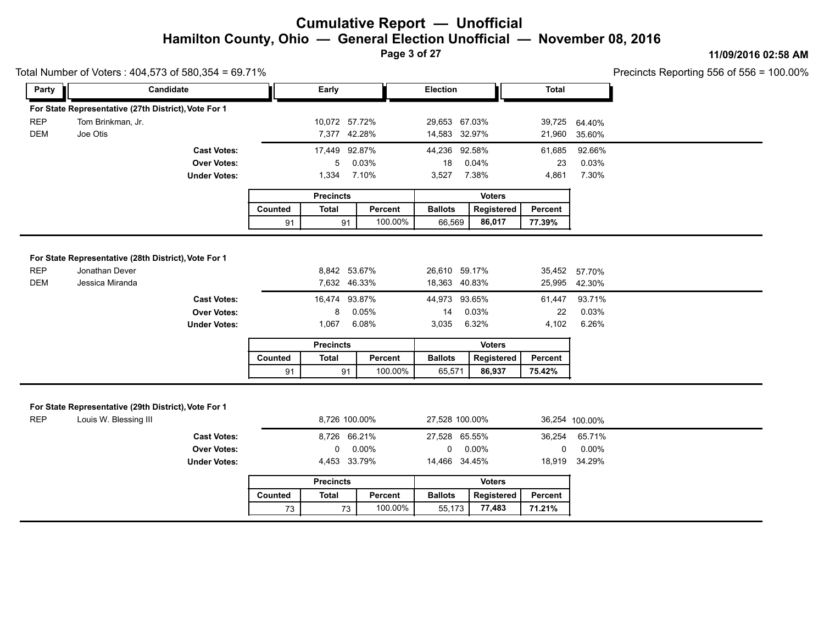**Page 3 of 27**

#### **11/09/2016 02:58 AM**

|                                                                                  | Total Number of Voters: 404,573 of 580,354 = 69.71%                           |                                           |         |                                               |          |                                                 |               | Precincts Reporting 556 of 556 = 100.00% |                                   |  |
|----------------------------------------------------------------------------------|-------------------------------------------------------------------------------|-------------------------------------------|---------|-----------------------------------------------|----------|-------------------------------------------------|---------------|------------------------------------------|-----------------------------------|--|
| Party                                                                            | Candidate                                                                     |                                           |         | Early                                         |          | <b>Election</b>                                 |               | <b>Total</b>                             |                                   |  |
|                                                                                  | For State Representative (27th District), Vote For 1                          |                                           |         |                                               |          |                                                 |               |                                          |                                   |  |
| <b>REP</b>                                                                       | Tom Brinkman, Jr.                                                             |                                           |         | 10,072 57.72%                                 |          | 29,653 67.03%                                   |               | 39,725                                   | 64.40%                            |  |
| <b>DEM</b>                                                                       | Joe Otis                                                                      |                                           |         | 7,377 42.28%                                  |          | 14,583 32.97%                                   |               | 21,960                                   | 35.60%                            |  |
|                                                                                  |                                                                               | <b>Cast Votes:</b>                        |         | 17,449 92.87%                                 |          | 44,236 92.58%                                   |               | 61,685                                   | 92.66%                            |  |
|                                                                                  |                                                                               | <b>Over Votes:</b>                        |         | 5                                             | 0.03%    | 18                                              | 0.04%         | 23                                       | 0.03%                             |  |
|                                                                                  |                                                                               | <b>Under Votes:</b>                       |         | 1,334                                         | 7.10%    | 3,527                                           | 7.38%         | 4,861                                    | 7.30%                             |  |
|                                                                                  |                                                                               |                                           |         | <b>Precincts</b>                              |          |                                                 | <b>Voters</b> |                                          |                                   |  |
|                                                                                  |                                                                               |                                           | Counted | <b>Total</b>                                  | Percent  | <b>Ballots</b>                                  | Registered    | Percent                                  |                                   |  |
|                                                                                  |                                                                               |                                           | 91      | 91                                            | 100.00%  | 66,569                                          | 86,017        | 77.39%                                   |                                   |  |
| For State Representative (28th District), Vote For 1<br><b>REP</b><br><b>DEM</b> | Jonathan Dever<br>Jessica Miranda                                             | <b>Cast Votes:</b>                        |         | 8,842 53.67%<br>7,632 46.33%<br>16,474 93.87% |          | 26,610 59.17%<br>18,363 40.83%<br>44,973 93.65% |               | 25,995<br>61,447                         | 35,452 57.70%<br>42.30%<br>93.71% |  |
|                                                                                  |                                                                               | <b>Over Votes:</b>                        |         | 8                                             | 0.05%    | 14                                              | 0.03%         | 22                                       | 0.03%                             |  |
|                                                                                  |                                                                               | <b>Under Votes:</b>                       |         | 1,067                                         | 6.08%    | 3,035                                           | 6.32%         | 4,102                                    | 6.26%                             |  |
|                                                                                  |                                                                               |                                           |         | <b>Precincts</b>                              |          |                                                 | <b>Voters</b> |                                          |                                   |  |
|                                                                                  |                                                                               |                                           | Counted | <b>Total</b>                                  | Percent  | <b>Ballots</b>                                  | Registered    | Percent                                  |                                   |  |
|                                                                                  |                                                                               |                                           | 91      | 91                                            | 100.00%  | 65,571                                          | 86,937        | 75.42%                                   |                                   |  |
| <b>REP</b>                                                                       | For State Representative (29th District), Vote For 1<br>Louis W. Blessing III |                                           |         | 8,726 100.00%                                 |          | 27,528 100.00%                                  |               |                                          | 36,254 100.00%                    |  |
|                                                                                  |                                                                               |                                           |         |                                               |          |                                                 |               |                                          |                                   |  |
|                                                                                  |                                                                               | <b>Cast Votes:</b>                        |         | 8,726 66.21%<br>$\mathbf 0$                   | $0.00\%$ | 27,528 65.55%<br>$\mathbf 0$                    | $0.00\%$      | 36,254                                   | 65.71%<br>$0.00\%$                |  |
|                                                                                  |                                                                               | <b>Over Votes:</b><br><b>Under Votes:</b> |         | 4,453 33.79%                                  |          | 14,466 34.45%                                   |               | 0<br>18,919                              | 34.29%                            |  |
|                                                                                  |                                                                               |                                           |         | <b>Precincts</b>                              |          |                                                 | <b>Voters</b> |                                          |                                   |  |
|                                                                                  |                                                                               |                                           | Counted | <b>Total</b>                                  | Percent  | <b>Ballots</b>                                  | Registered    | Percent                                  |                                   |  |
|                                                                                  |                                                                               |                                           |         |                                               |          |                                                 |               |                                          |                                   |  |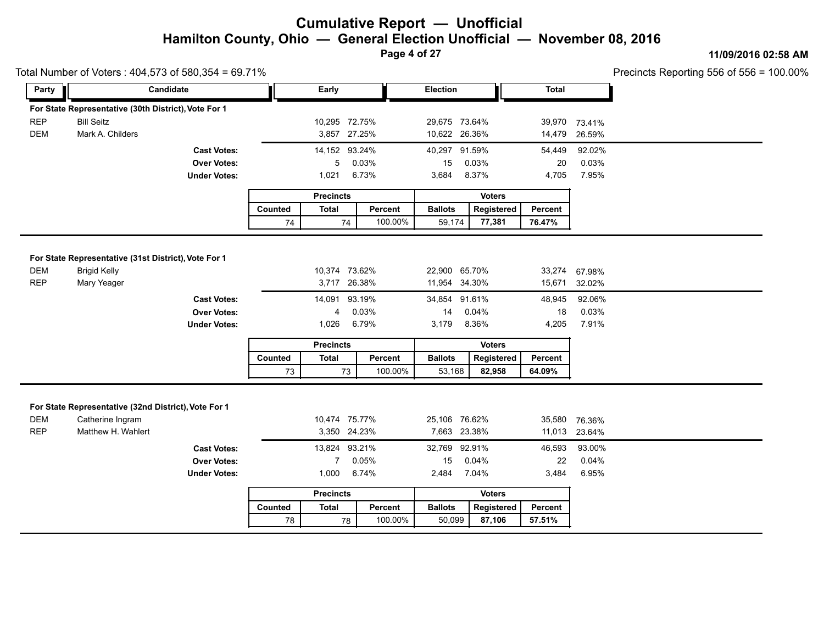**Page 4 of 27**

### **11/09/2016 02:58 AM**

|                          | Total Number of Voters: 404,573 of 580,354 = 69.71%                                            |                                                                 |                                               |                               |                                                |                               |                       |                          |                         | Precincts Reporting 556 of 556 = 100.00% |
|--------------------------|------------------------------------------------------------------------------------------------|-----------------------------------------------------------------|-----------------------------------------------|-------------------------------|------------------------------------------------|-------------------------------|-----------------------|--------------------------|-------------------------|------------------------------------------|
| Party                    | Candidate                                                                                      |                                                                 |                                               | Early                         |                                                | <b>Election</b>               |                       | <b>Total</b>             |                         |                                          |
|                          | For State Representative (30th District), Vote For 1                                           |                                                                 |                                               |                               |                                                |                               |                       |                          |                         |                                          |
| <b>REP</b>               | <b>Bill Seitz</b>                                                                              |                                                                 |                                               | 10,295 72.75%                 |                                                | 29,675 73.64%                 |                       |                          | 39,970 73.41%           |                                          |
| <b>DEM</b>               | Mark A. Childers                                                                               |                                                                 |                                               | 3,857 27.25%                  |                                                | 10,622 26.36%                 |                       | 14,479                   | 26.59%                  |                                          |
|                          |                                                                                                | <b>Cast Votes:</b>                                              |                                               | 14,152 93.24%                 |                                                | 40,297 91.59%                 |                       | 54,449                   | 92.02%                  |                                          |
|                          |                                                                                                | <b>Over Votes:</b>                                              |                                               | 0.03%<br>5                    |                                                | 15<br>0.03%                   |                       | 20                       | 0.03%                   |                                          |
|                          |                                                                                                | <b>Under Votes:</b>                                             |                                               | 1,021                         | 6.73%                                          | 3,684<br>8.37%<br>4,705       |                       |                          | 7.95%                   |                                          |
|                          |                                                                                                |                                                                 | <b>Precincts</b>                              |                               |                                                |                               |                       |                          |                         |                                          |
|                          |                                                                                                |                                                                 | Counted                                       | <b>Total</b>                  | Percent                                        | <b>Ballots</b>                | Registered            | Percent                  |                         |                                          |
|                          |                                                                                                |                                                                 | 74                                            | 74                            | 100.00%                                        | 59,174                        | 77,381                | 76.47%                   |                         |                                          |
|                          |                                                                                                | <b>Cast Votes:</b><br><b>Over Votes:</b><br><b>Under Votes:</b> | 14,091 93.19%<br>0.03%<br>4<br>6.79%<br>1,026 |                               | 34,854 91.61%<br>0.04%<br>14<br>8.36%<br>3,179 |                               | 48,945<br>18<br>4,205 | 92.06%<br>0.03%<br>7.91% |                         |                                          |
|                          |                                                                                                |                                                                 |                                               | <b>Precincts</b>              |                                                | <b>Voters</b>                 |                       |                          |                         |                                          |
|                          |                                                                                                |                                                                 | Counted                                       | Total                         | Percent                                        | <b>Ballots</b>                | Registered            | Percent                  |                         |                                          |
|                          |                                                                                                |                                                                 | 73                                            | 73                            | 100.00%                                        | 53,168                        | 82,958                | 64.09%                   |                         |                                          |
| <b>DEM</b><br><b>REP</b> | For State Representative (32nd District), Vote For 1<br>Catherine Ingram<br>Matthew H. Wahlert |                                                                 |                                               | 10,474 75.77%<br>3,350 24.23% |                                                | 25,106 76.62%<br>7,663 23.38% |                       | 35,580                   | 76.36%<br>11,013 23.64% |                                          |
|                          |                                                                                                | <b>Cast Votes:</b>                                              |                                               | 13,824 93.21%                 |                                                | 32,769 92.91%                 |                       | 46,593                   | 93.00%                  |                                          |
|                          |                                                                                                | <b>Over Votes:</b>                                              |                                               | $\mathbf{7}$                  | 0.05%                                          | 15                            | 0.04%                 | 22                       | 0.04%                   |                                          |
|                          |                                                                                                | <b>Under Votes:</b>                                             |                                               | 1,000                         | 6.74%                                          | 2,484                         | 7.04%                 | 3,484                    | 6.95%                   |                                          |
|                          |                                                                                                |                                                                 |                                               | <b>Precincts</b>              |                                                |                               | <b>Voters</b>         |                          |                         |                                          |
|                          |                                                                                                |                                                                 |                                               |                               |                                                |                               |                       |                          |                         |                                          |
|                          |                                                                                                |                                                                 | Counted                                       | <b>Total</b>                  | Percent                                        | <b>Ballots</b>                | Registered            | Percent                  |                         |                                          |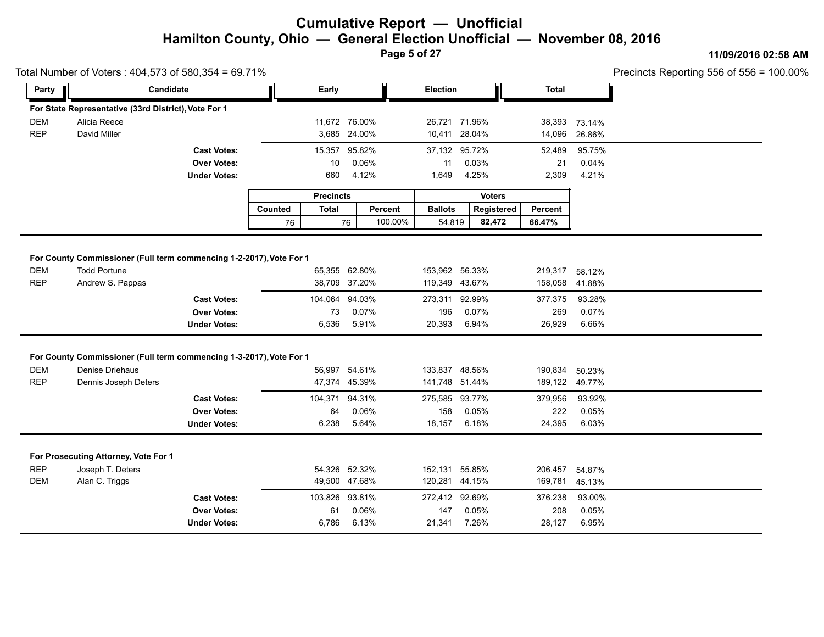**Page 5 of 27**

### **11/09/2016 02:58 AM**

|            | Total Number of Voters: 404,573 of 580,354 = 69.71%                                        |                                          |                  |                |              |               |                       |  |                  |                    | Precincts Reporting 556 of 556 = |  |
|------------|--------------------------------------------------------------------------------------------|------------------------------------------|------------------|----------------|--------------|---------------|-----------------------|--|------------------|--------------------|----------------------------------|--|
| Party      | Candidate                                                                                  |                                          |                  | Early          |              |               | Election              |  |                  | <b>Total</b>       |                                  |  |
|            | For State Representative (33rd District), Vote For 1                                       |                                          |                  |                |              |               |                       |  |                  |                    |                                  |  |
| <b>DEM</b> | Alicia Reece                                                                               |                                          |                  | 11,672 76.00%  |              |               | 26,721 71.96%         |  |                  | 38,393             | 73.14%                           |  |
| <b>REP</b> | David Miller                                                                               |                                          |                  |                | 3,685 24.00% |               | 10,411                |  | 28.04%           | 14,096             | 26.86%                           |  |
|            |                                                                                            | <b>Cast Votes:</b>                       |                  | 15,357 95.82%  |              |               | 37,132 95.72%         |  |                  | 52,489             | 95.75%                           |  |
|            |                                                                                            | <b>Over Votes:</b>                       |                  | 10             | 0.06%        |               | 11                    |  | 0.03%            | 21                 | 0.04%                            |  |
|            |                                                                                            | <b>Under Votes:</b>                      |                  | 660            | 4.12%        |               | 1,649                 |  | 4.25%            | 2,309              | 4.21%                            |  |
|            |                                                                                            |                                          | <b>Precincts</b> |                |              | <b>Voters</b> |                       |  |                  |                    |                                  |  |
|            |                                                                                            |                                          | Counted          | <b>Total</b>   | Percent      |               | <b>Ballots</b>        |  | Registered       | Percent            |                                  |  |
|            |                                                                                            |                                          | 76               |                | 76           | 100.00%       | 54,819                |  | 66.47%<br>82,472 |                    |                                  |  |
|            |                                                                                            | <b>Cast Votes:</b>                       |                  | 104,064 94.03% |              |               | 273,311 92.99%        |  |                  | 377,375            | 93.28%                           |  |
| <b>DEM</b> | For County Commissioner (Full term commencing 1-2-2017), Vote For 1<br><b>Todd Portune</b> |                                          |                  | 65,355 62.80%  |              |               | 153,962 56.33%        |  |                  | 219,317            | 58.12%                           |  |
| <b>REP</b> | Andrew S. Pappas                                                                           |                                          |                  | 38,709 37.20%  |              |               | 119,349 43.67%        |  |                  | 158,058            | 41.88%                           |  |
|            |                                                                                            |                                          |                  |                |              |               |                       |  |                  |                    |                                  |  |
|            |                                                                                            | <b>Over Votes:</b>                       |                  | 73             | 0.07%        |               | 196                   |  | 0.07%            | 269                | 0.07%                            |  |
|            |                                                                                            | <b>Under Votes:</b>                      |                  | 6,536          | 5.91%        |               | 20,393                |  | 6.94%            | 26,929             | 6.66%                            |  |
|            |                                                                                            |                                          |                  |                |              |               |                       |  |                  |                    |                                  |  |
| <b>DEM</b> | For County Commissioner (Full term commencing 1-3-2017), Vote For 1<br>Denise Driehaus     |                                          |                  | 56,997 54.61%  |              |               | 133,837 48.56%        |  |                  |                    |                                  |  |
| <b>REP</b> | Dennis Joseph Deters                                                                       |                                          |                  | 47,374 45.39%  |              |               | 141,748 51.44%        |  |                  | 190,834<br>189,122 | 50.23%<br>49.77%                 |  |
|            |                                                                                            |                                          |                  | 104,371 94.31% |              |               |                       |  |                  |                    |                                  |  |
|            |                                                                                            | <b>Cast Votes:</b><br><b>Over Votes:</b> |                  | 64             | 0.06%        |               | 275,585 93.77%<br>158 |  | 0.05%            | 379,956<br>222     | 93.92%<br>0.05%                  |  |
|            |                                                                                            | <b>Under Votes:</b>                      |                  | 6,238          | 5.64%        |               | 18,157                |  | 6.18%            | 24,395             | 6.03%                            |  |
|            |                                                                                            |                                          |                  |                |              |               |                       |  |                  |                    |                                  |  |
|            |                                                                                            |                                          |                  |                |              |               |                       |  |                  |                    |                                  |  |
|            | For Prosecuting Attorney, Vote For 1                                                       |                                          |                  |                |              |               |                       |  |                  |                    |                                  |  |
| <b>REP</b> | Joseph T. Deters                                                                           |                                          |                  | 54,326 52.32%  |              |               | 152,131 55.85%        |  |                  | 206,457            | 54.87%                           |  |
| <b>DEM</b> | Alan C. Triggs                                                                             |                                          |                  | 49,500 47.68%  |              |               | 120,281 44.15%        |  |                  | 169,781            | 45.13%                           |  |
|            |                                                                                            | <b>Cast Votes:</b>                       |                  | 103,826 93.81% |              |               | 272,412 92.69%        |  |                  | 376,238            | 93.00%                           |  |
|            |                                                                                            | <b>Over Votes:</b>                       |                  | 61             | 0.06%        |               | 147                   |  | 0.05%            | 208                | 0.05%                            |  |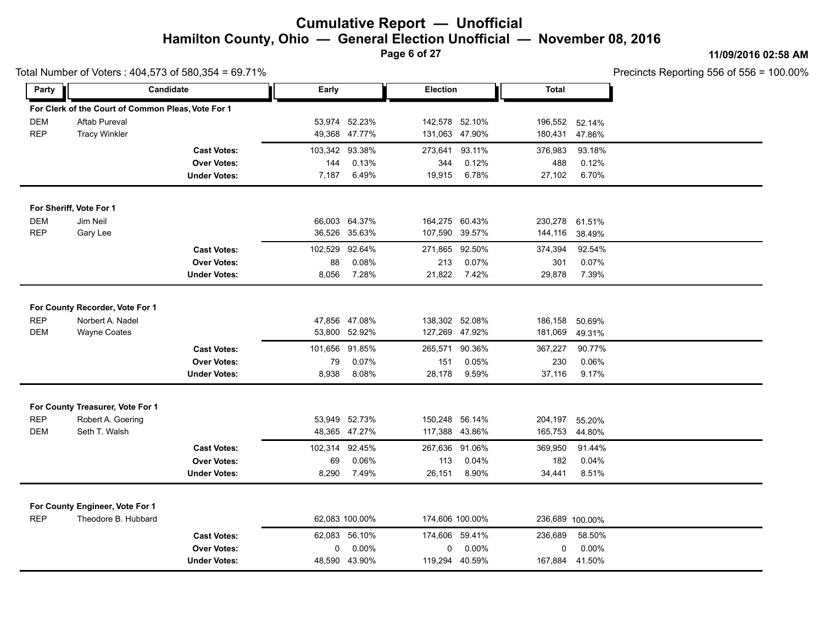**Page 6 of 27**

**11/09/2016 02:58 AM**

| Precincts Reporting 556 of 556 = $100.00\%$ |  |
|---------------------------------------------|--|
|---------------------------------------------|--|

|            | Total Number of Voters: 404,573 of 580,354 = 69.71%    |                                          |         |                |          |                 |              |                 | Precincts Reporting 556 of 556 = |
|------------|--------------------------------------------------------|------------------------------------------|---------|----------------|----------|-----------------|--------------|-----------------|----------------------------------|
| Party      |                                                        | Candidate                                | Early   |                | Election |                 | <b>Total</b> |                 |                                  |
|            | For Clerk of the Court of Common Pleas, Vote For 1     |                                          |         |                |          |                 |              |                 |                                  |
| <b>DEM</b> | <b>Aftab Pureval</b>                                   |                                          |         | 53,974 52.23%  |          | 142,578 52.10%  | 196,552      | 52.14%          |                                  |
| <b>REP</b> | <b>Tracy Winkler</b>                                   |                                          |         | 49,368 47.77%  |          | 131,063 47.90%  | 180,431      | 47.86%          |                                  |
|            |                                                        | <b>Cast Votes:</b>                       |         | 103,342 93.38% | 273,641  | 93.11%          | 376,983      | 93.18%          |                                  |
|            |                                                        | <b>Over Votes:</b>                       | 144     | 0.13%          | 344      | 0.12%           | 488          | 0.12%           |                                  |
|            |                                                        | <b>Under Votes:</b>                      | 7,187   | 6.49%          | 19,915   | 6.78%           | 27,102       | 6.70%           |                                  |
|            | For Sheriff, Vote For 1                                |                                          |         |                |          |                 |              |                 |                                  |
| <b>DEM</b> | Jim Neil                                               |                                          |         | 66,003 64.37%  |          | 164,275 60.43%  | 230,278      | 61.51%          |                                  |
| <b>REP</b> | Gary Lee                                               |                                          |         | 36,526 35.63%  |          | 107,590 39.57%  | 144,116      | 38.49%          |                                  |
|            |                                                        | <b>Cast Votes:</b>                       | 102,529 | 92.64%         | 271,865  | 92.50%          | 374,394      | 92.54%          |                                  |
|            |                                                        | <b>Over Votes:</b>                       | 88      | 0.08%          | 213      | 0.07%           | 301          | 0.07%           |                                  |
|            |                                                        | <b>Under Votes:</b>                      | 8,056   | 7.28%          | 21,822   | 7.42%           | 29,878       | 7.39%           |                                  |
|            |                                                        |                                          |         |                |          |                 |              |                 |                                  |
|            | For County Recorder, Vote For 1                        |                                          |         |                |          |                 |              |                 |                                  |
| <b>REP</b> | Norbert A. Nadel                                       |                                          |         | 47,856 47.08%  |          | 138,302 52.08%  | 186,158      | 50.69%          |                                  |
| <b>DEM</b> | <b>Wayne Coates</b>                                    |                                          | 53,800  | 52.92%         |          | 127,269 47.92%  | 181,069      | 49.31%          |                                  |
|            |                                                        | <b>Cast Votes:</b>                       |         | 101,656 91.85% | 265,571  | 90.36%          | 367,227      | 90.77%          |                                  |
|            |                                                        | <b>Over Votes:</b>                       | 79      | 0.07%          | 151      | 0.05%           | 230          | 0.06%           |                                  |
|            |                                                        | <b>Under Votes:</b>                      | 8,938   | 8.08%          | 28,178   | 9.59%           | 37,116       | 9.17%           |                                  |
|            | For County Treasurer, Vote For 1                       |                                          |         |                |          |                 |              |                 |                                  |
| <b>REP</b> | Robert A. Goering                                      |                                          |         | 53,949 52.73%  |          | 150,248 56.14%  | 204,197      | 55.20%          |                                  |
| <b>DEM</b> | Seth T. Walsh                                          |                                          |         | 48,365 47.27%  |          | 117,388 43.86%  | 165,753      | 44.80%          |                                  |
|            |                                                        | <b>Cast Votes:</b>                       |         | 102,314 92.45% |          | 267,636 91.06%  | 369,950      | 91.44%          |                                  |
|            |                                                        | <b>Over Votes:</b>                       | 69      | 0.06%          | 113      | 0.04%           | 182          | 0.04%           |                                  |
|            |                                                        | <b>Under Votes:</b>                      | 8,290   | 7.49%          | 26,151   | 8.90%           | 34,441       | 8.51%           |                                  |
|            |                                                        |                                          |         |                |          |                 |              |                 |                                  |
| <b>REP</b> | For County Engineer, Vote For 1<br>Theodore B. Hubbard |                                          |         | 62,083 100.00% |          | 174,606 100.00% |              | 236,689 100.00% |                                  |
|            |                                                        |                                          |         | 62,083 56.10%  |          | 174,606 59.41%  | 236,689      | 58.50%          |                                  |
|            |                                                        | <b>Cast Votes:</b><br><b>Over Votes:</b> | 0       | $0.00\%$       | 0        | 0.00%           | 0            | 0.00%           |                                  |
|            |                                                        | <b>Under Votes:</b>                      |         | 48,590 43.90%  |          | 119,294 40.59%  | 167,884      | 41.50%          |                                  |
|            |                                                        |                                          |         |                |          |                 |              |                 |                                  |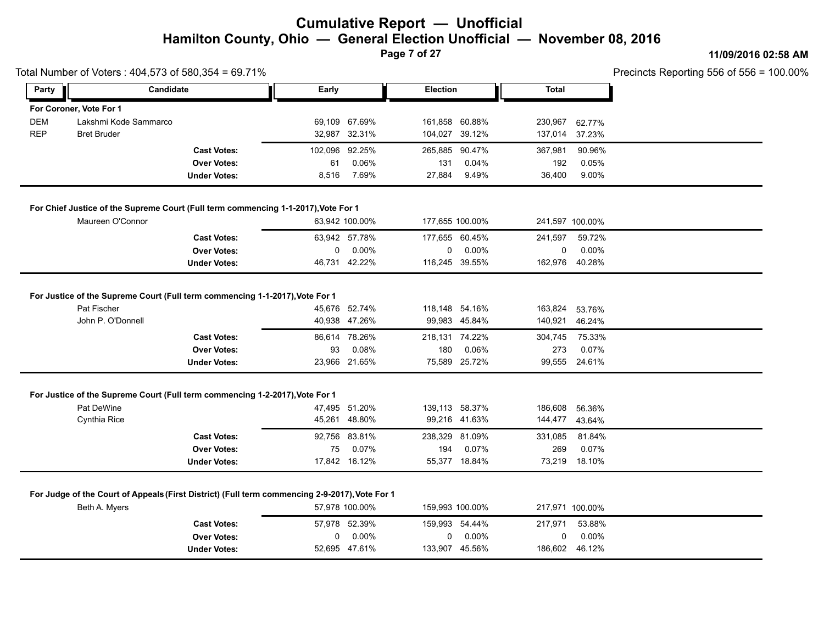**Page 7 of 27**

### **11/09/2016 02:58 AM**

|                         |                                                   |                                                                                        |                                                                                                                                                              |                                                                                                                                                                                                                                                                                                                                                                                                 |                                                                                                |                                                                                                                                                                                                                                                                                     |                                          | Precincts Reporting 556 of 556 = 100.00%                                                                                               |
|-------------------------|---------------------------------------------------|----------------------------------------------------------------------------------------|--------------------------------------------------------------------------------------------------------------------------------------------------------------|-------------------------------------------------------------------------------------------------------------------------------------------------------------------------------------------------------------------------------------------------------------------------------------------------------------------------------------------------------------------------------------------------|------------------------------------------------------------------------------------------------|-------------------------------------------------------------------------------------------------------------------------------------------------------------------------------------------------------------------------------------------------------------------------------------|------------------------------------------|----------------------------------------------------------------------------------------------------------------------------------------|
|                         |                                                   | Early                                                                                  |                                                                                                                                                              |                                                                                                                                                                                                                                                                                                                                                                                                 |                                                                                                | <b>Total</b>                                                                                                                                                                                                                                                                        |                                          |                                                                                                                                        |
| For Coroner, Vote For 1 |                                                   |                                                                                        |                                                                                                                                                              |                                                                                                                                                                                                                                                                                                                                                                                                 |                                                                                                |                                                                                                                                                                                                                                                                                     |                                          |                                                                                                                                        |
| Lakshmi Kode Sammarco   |                                                   |                                                                                        |                                                                                                                                                              |                                                                                                                                                                                                                                                                                                                                                                                                 |                                                                                                | 230,967                                                                                                                                                                                                                                                                             | 62.77%                                   |                                                                                                                                        |
| <b>Bret Bruder</b>      |                                                   |                                                                                        |                                                                                                                                                              |                                                                                                                                                                                                                                                                                                                                                                                                 |                                                                                                |                                                                                                                                                                                                                                                                                     | 37.23%                                   |                                                                                                                                        |
|                         | <b>Cast Votes:</b>                                |                                                                                        |                                                                                                                                                              | 265,885                                                                                                                                                                                                                                                                                                                                                                                         | 90.47%                                                                                         | 367,981                                                                                                                                                                                                                                                                             | 90.96%                                   |                                                                                                                                        |
|                         | <b>Over Votes:</b>                                | 61                                                                                     | 0.06%                                                                                                                                                        | 131                                                                                                                                                                                                                                                                                                                                                                                             | 0.04%                                                                                          | 192                                                                                                                                                                                                                                                                                 | 0.05%                                    |                                                                                                                                        |
|                         | <b>Under Votes:</b>                               |                                                                                        | 7.69%                                                                                                                                                        | 27,884                                                                                                                                                                                                                                                                                                                                                                                          | 9.49%                                                                                          | 36,400                                                                                                                                                                                                                                                                              | 9.00%                                    |                                                                                                                                        |
|                         |                                                   |                                                                                        |                                                                                                                                                              |                                                                                                                                                                                                                                                                                                                                                                                                 |                                                                                                |                                                                                                                                                                                                                                                                                     |                                          |                                                                                                                                        |
| Maureen O'Connor        |                                                   |                                                                                        |                                                                                                                                                              |                                                                                                                                                                                                                                                                                                                                                                                                 |                                                                                                |                                                                                                                                                                                                                                                                                     |                                          |                                                                                                                                        |
|                         | <b>Cast Votes:</b>                                |                                                                                        |                                                                                                                                                              |                                                                                                                                                                                                                                                                                                                                                                                                 |                                                                                                | 241,597                                                                                                                                                                                                                                                                             | 59.72%                                   |                                                                                                                                        |
|                         | <b>Over Votes:</b>                                |                                                                                        | $0.00\%$                                                                                                                                                     | 0                                                                                                                                                                                                                                                                                                                                                                                               | 0.00%                                                                                          | 0                                                                                                                                                                                                                                                                                   | 0.00%                                    |                                                                                                                                        |
|                         | <b>Under Votes:</b>                               |                                                                                        |                                                                                                                                                              |                                                                                                                                                                                                                                                                                                                                                                                                 |                                                                                                |                                                                                                                                                                                                                                                                                     |                                          |                                                                                                                                        |
|                         | <b>Cast Votes:</b><br><b>Over Votes:</b>          |                                                                                        | 0.08%                                                                                                                                                        | 180                                                                                                                                                                                                                                                                                                                                                                                             | 0.06%                                                                                          | 304,745<br>273                                                                                                                                                                                                                                                                      | 75.33%<br>0.07%                          |                                                                                                                                        |
|                         | <b>Under Votes:</b>                               |                                                                                        |                                                                                                                                                              |                                                                                                                                                                                                                                                                                                                                                                                                 |                                                                                                |                                                                                                                                                                                                                                                                                     |                                          |                                                                                                                                        |
|                         |                                                   |                                                                                        |                                                                                                                                                              |                                                                                                                                                                                                                                                                                                                                                                                                 |                                                                                                |                                                                                                                                                                                                                                                                                     |                                          |                                                                                                                                        |
| Pat DeWine              |                                                   |                                                                                        |                                                                                                                                                              |                                                                                                                                                                                                                                                                                                                                                                                                 |                                                                                                | 186,608                                                                                                                                                                                                                                                                             | 56.36%                                   |                                                                                                                                        |
| Cynthia Rice            |                                                   |                                                                                        |                                                                                                                                                              |                                                                                                                                                                                                                                                                                                                                                                                                 |                                                                                                |                                                                                                                                                                                                                                                                                     |                                          |                                                                                                                                        |
|                         | <b>Cast Votes:</b>                                |                                                                                        |                                                                                                                                                              | 238,329                                                                                                                                                                                                                                                                                                                                                                                         |                                                                                                | 331,085                                                                                                                                                                                                                                                                             | 81.84%                                   |                                                                                                                                        |
|                         | <b>Over Votes:</b>                                |                                                                                        | 0.07%                                                                                                                                                        | 194                                                                                                                                                                                                                                                                                                                                                                                             | 0.07%                                                                                          | 269                                                                                                                                                                                                                                                                                 | 0.07%                                    |                                                                                                                                        |
|                         | <b>Under Votes:</b>                               |                                                                                        |                                                                                                                                                              |                                                                                                                                                                                                                                                                                                                                                                                                 |                                                                                                |                                                                                                                                                                                                                                                                                     |                                          |                                                                                                                                        |
|                         |                                                   |                                                                                        |                                                                                                                                                              |                                                                                                                                                                                                                                                                                                                                                                                                 |                                                                                                |                                                                                                                                                                                                                                                                                     |                                          |                                                                                                                                        |
|                         |                                                   |                                                                                        |                                                                                                                                                              |                                                                                                                                                                                                                                                                                                                                                                                                 |                                                                                                |                                                                                                                                                                                                                                                                                     |                                          |                                                                                                                                        |
|                         |                                                   |                                                                                        |                                                                                                                                                              |                                                                                                                                                                                                                                                                                                                                                                                                 |                                                                                                |                                                                                                                                                                                                                                                                                     |                                          |                                                                                                                                        |
|                         |                                                   |                                                                                        |                                                                                                                                                              |                                                                                                                                                                                                                                                                                                                                                                                                 |                                                                                                |                                                                                                                                                                                                                                                                                     | 0.00%                                    |                                                                                                                                        |
|                         | <b>Over Votes:</b>                                | 0                                                                                      | 0.00%                                                                                                                                                        | 0                                                                                                                                                                                                                                                                                                                                                                                               | 0.00%                                                                                          | 0                                                                                                                                                                                                                                                                                   |                                          |                                                                                                                                        |
|                         | Pat Fischer<br>John P. O'Donnell<br>Beth A. Myers | Total Number of Voters: 404,573 of 580,354 = 69.71%<br>Candidate<br><b>Cast Votes:</b> | For Justice of the Supreme Court (Full term commencing 1-1-2017), Vote For 1<br>For Justice of the Supreme Court (Full term commencing 1-2-2017), Vote For 1 | 69,109 67.69%<br>32,987 32.31%<br>102,096 92.25%<br>8,516<br>For Chief Justice of the Supreme Court (Full term commencing 1-1-2017), Vote For 1<br>63,942 100.00%<br>63,942 57.78%<br>0<br>46,731 42.22%<br>45,676 52.74%<br>40,938 47.26%<br>86,614 78.26%<br>93<br>23,966 21.65%<br>47,495 51.20%<br>45,261 48.80%<br>92,756 83.81%<br>75<br>17,842 16.12%<br>57,978 100.00%<br>57,978 52.39% | For Judge of the Court of Appeals (First District) (Full term commencing 2-9-2017), Vote For 1 | <b>Election</b><br>161,858 60.88%<br>104,027 39.12%<br>177,655 100.00%<br>177,655 60.45%<br>116,245 39.55%<br>118,148 54.16%<br>99,983 45.84%<br>218,131 74.22%<br>75,589 25.72%<br>139,113 58.37%<br>99,216 41.63%<br>81.09%<br>55,377 18.84%<br>159,993 100.00%<br>159,993 54.44% | 137,014<br>163,824<br>140,921<br>217,971 | 241,597 100.00%<br>162,976 40.28%<br>53.76%<br>46.24%<br>99,555 24.61%<br>144,477 43.64%<br>73,219 18.10%<br>217,971 100.00%<br>53.88% |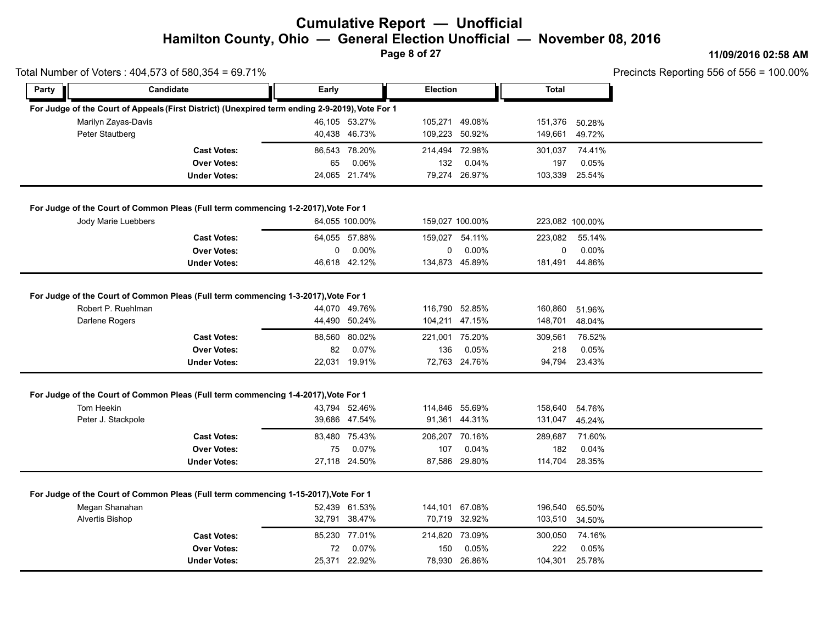**Page 8 of 27**

#### **11/09/2016 02:58 AM**

|                                   | Total Number of Voters: 404,573 of 580,354 = 69.71%                                                                              |       |                                                          |                       |                                                           |                                      |                                            | Precincts Reporting 556 of 556 = |
|-----------------------------------|----------------------------------------------------------------------------------------------------------------------------------|-------|----------------------------------------------------------|-----------------------|-----------------------------------------------------------|--------------------------------------|--------------------------------------------|----------------------------------|
| Party                             | Candidate                                                                                                                        | Early |                                                          | <b>Election</b>       |                                                           | <b>Total</b>                         |                                            |                                  |
|                                   | For Judge of the Court of Appeals (First District) (Unexpired term ending 2-9-2019), Vote For 1                                  |       |                                                          |                       |                                                           |                                      |                                            |                                  |
|                                   | Marilyn Zayas-Davis                                                                                                              |       | 46,105 53.27%                                            |                       | 105,271 49.08%                                            | 151,376                              | 50.28%                                     |                                  |
| Peter Stautberg                   |                                                                                                                                  |       | 40,438 46.73%                                            | 109,223 50.92%        |                                                           | 149,661                              | 49.72%                                     |                                  |
|                                   | <b>Cast Votes:</b>                                                                                                               |       | 86,543 78.20%                                            | 214,494 72.98%        |                                                           | 301,037                              | 74.41%                                     |                                  |
|                                   | <b>Over Votes:</b>                                                                                                               | 65    | 0.06%                                                    | 132                   | 0.04%                                                     | 197                                  | 0.05%                                      |                                  |
|                                   | <b>Under Votes:</b>                                                                                                              |       | 24,065 21.74%                                            |                       | 79,274 26.97%                                             |                                      | 103,339 25.54%                             |                                  |
|                                   | For Judge of the Court of Common Pleas (Full term commencing 1-2-2017), Vote For 1                                               |       |                                                          |                       |                                                           |                                      |                                            |                                  |
|                                   | Jody Marie Luebbers                                                                                                              |       | 64,055 100.00%                                           |                       | 159,027 100.00%                                           |                                      | 223,082 100.00%                            |                                  |
|                                   | <b>Cast Votes:</b>                                                                                                               |       | 64,055 57.88%                                            |                       | 159,027 54.11%                                            | 223,082                              | 55.14%                                     |                                  |
|                                   | <b>Over Votes:</b>                                                                                                               | 0     | $0.00\%$                                                 | 0                     | $0.00\%$                                                  | $\mathbf 0$                          | $0.00\%$                                   |                                  |
|                                   | <b>Under Votes:</b>                                                                                                              |       | 46,618 42.12%                                            |                       | 134,873 45.89%                                            |                                      | 181,491 44.86%                             |                                  |
| Darlene Rogers                    | <b>Cast Votes:</b><br><b>Over Votes:</b><br><b>Under Votes:</b>                                                                  | 82    | 44,490 50.24%<br>88,560 80.02%<br>0.07%<br>22,031 19.91% | 221,001 75.20%<br>136 | 104,211 47.15%<br>0.05%<br>72,763 24.76%                  | 148,701<br>309,561<br>218            | 48.04%<br>76.52%<br>0.05%<br>94,794 23.43% |                                  |
| Tom Heekin<br>Peter J. Stackpole  | For Judge of the Court of Common Pleas (Full term commencing 1-4-2017), Vote For 1                                               |       | 43,794 52.46%<br>39,686 47.54%                           |                       | 114,846 55.69%<br>91,361 44.31%                           | 158,640<br>131,047                   | 54.76%<br>45.24%                           |                                  |
|                                   |                                                                                                                                  |       |                                                          |                       |                                                           |                                      |                                            |                                  |
|                                   |                                                                                                                                  |       |                                                          |                       |                                                           |                                      |                                            |                                  |
|                                   | <b>Cast Votes:</b>                                                                                                               |       | 83,480 75.43%                                            | 206,207 70.16%        |                                                           | 289,687                              | 71.60%                                     |                                  |
|                                   |                                                                                                                                  |       |                                                          |                       |                                                           |                                      |                                            |                                  |
| Megan Shanahan<br>Alvertis Bishop | <b>Over Votes:</b><br><b>Under Votes:</b><br>For Judge of the Court of Common Pleas (Full term commencing 1-15-2017), Vote For 1 | 75    | 0.07%<br>27,118 24.50%<br>52,439 61.53%<br>32,791 38.47% | 107                   | 0.04%<br>87,586 29.80%<br>144,101 67.08%<br>70,719 32.92% | 182<br>114,704<br>196,540<br>103,510 | 0.04%<br>28.35%<br>65.50%<br>34.50%        |                                  |
|                                   | <b>Cast Votes:</b><br><b>Over Votes:</b>                                                                                         | 72    | 85,230 77.01%<br>0.07%                                   | 150                   | 214,820 73.09%<br>0.05%                                   | 300,050<br>222                       | 74.16%<br>0.05%                            |                                  |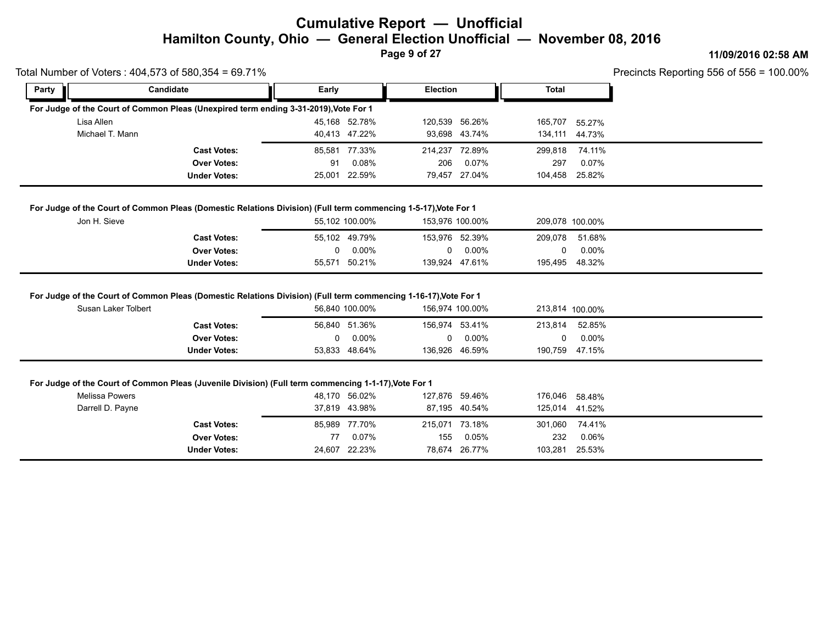**Page 9 of 27**

#### **11/09/2016 02:58 AM**

| Precincts Reporting 556 of 556 = $100.00\%$ |  |
|---------------------------------------------|--|
|---------------------------------------------|--|

|            | Total Number of Voters: 404,573 of 580,354 = 69.71%                                  |       |               |                 |               |                |                | Precincts Reporting 556 of 556 = |
|------------|--------------------------------------------------------------------------------------|-------|---------------|-----------------|---------------|----------------|----------------|----------------------------------|
| Party      | Candidate                                                                            | Early |               | <b>Election</b> |               | Total          |                |                                  |
|            | For Judge of the Court of Common Pleas (Unexpired term ending 3-31-2019), Vote For 1 |       |               |                 |               |                |                |                                  |
| Lisa Allen |                                                                                      |       | 45.168 52.78% | 120,539 56.26%  |               | 165,707 55.27% |                |                                  |
|            | Michael T. Mann                                                                      |       | 40.413 47.22% |                 | 93.698 43.74% |                | 134,111 44.73% |                                  |
|            | <b>Cast Votes:</b>                                                                   |       | 85.581 77.33% | 214.237 72.89%  |               | 299,818        | 74.11%         |                                  |
|            | <b>Over Votes:</b>                                                                   | 91    | 0.08%         | 206             | 0.07%         | 297            | 0.07%          |                                  |
|            | <b>Under Votes:</b>                                                                  |       | 25.001 22.59% |                 | 79.457 27.04% |                | 104.458 25.82% |                                  |

| Jon H. Sieve        | 55.102 100.00% | 153.976 100.00% |         | 209,078 100.00% |  |
|---------------------|----------------|-----------------|---------|-----------------|--|
| <b>Cast Votes:</b>  | 55,102 49.79%  | 153,976 52.39%  | 209,078 | 51.68%          |  |
| <b>Over Votes:</b>  | $0.00\%$       | $0.00\%$        |         | 0.00%           |  |
| <b>Under Votes:</b> | 55,571 50.21%  | 139,924 47.61%  | 195,495 | 48.32%          |  |

#### **For Judge of the Court of Common Pleas (Domestic Relations Division) (Full term commencing 1-16-17), Vote For 1**

| Susan Laker Tolbert | 56,840 100.00% | 156,974 100.00% | 213,814 100.00%   |  |
|---------------------|----------------|-----------------|-------------------|--|
| <b>Cast Votes:</b>  | 56.840 51.36%  | 156.974 53.41%  | 213.814<br>52.85% |  |
| <b>Over Votes:</b>  | $0.00\%$       | $0.00\%$        | $0.00\%$          |  |
| <b>Under Votes:</b> | 53,833 48.64%  | 136,926 46.59%  | 190,759 47.15%    |  |

#### **For Judge of the Court of Common Pleas (Juvenile Division) (Full term commencing 1-1-17), Vote For 1**

| Melissa Powers   |                     |    | 48,170 56.02% |                | 127,876 59.46% | 176,046 | 58.48%         |  |
|------------------|---------------------|----|---------------|----------------|----------------|---------|----------------|--|
| Darrell D. Payne |                     |    | 37,819 43.98% |                | 87,195 40.54%  |         | 125,014 41.52% |  |
|                  | <b>Cast Votes:</b>  |    | 85,989 77.70% | 215,071 73.18% |                | 301,060 | 74.41%         |  |
|                  | <b>Over Votes:</b>  | 77 | 0.07%         | 155            | 0.05%          | 232     | 0.06%          |  |
|                  | <b>Under Votes:</b> |    | 24,607 22.23% |                | 78,674 26.77%  | 103,281 | 25.53%         |  |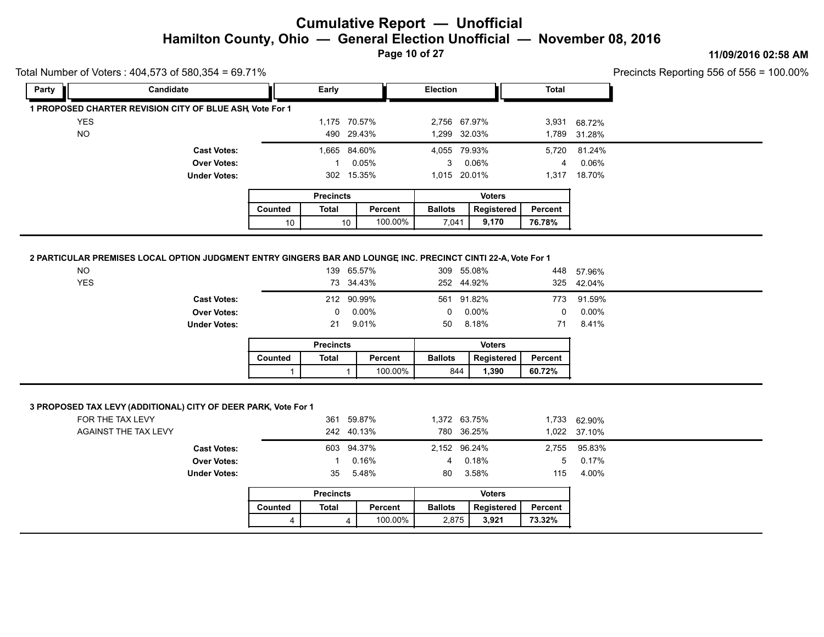**Page 10 of 27**

#### **11/09/2016 02:58 AM**

| Total Number of Voters: 404,573 of 580,354 = 69.71% |                                                                                                               |              |                                |                    |                            |                     |                   |              | Precincts Reporting 556 of 556 = 2 |
|-----------------------------------------------------|---------------------------------------------------------------------------------------------------------------|--------------|--------------------------------|--------------------|----------------------------|---------------------|-------------------|--------------|------------------------------------|
| Party                                               | Candidate                                                                                                     |              | Early                          |                    | Election                   |                     | Total             |              |                                    |
|                                                     | 1 PROPOSED CHARTER REVISION CITY OF BLUE ASH, Vote For 1                                                      |              |                                |                    |                            |                     |                   |              |                                    |
| <b>YES</b>                                          |                                                                                                               |              | 1,175 70.57%                   |                    | 2,756 67.97%               |                     |                   | 3,931 68.72% |                                    |
| <b>NO</b>                                           |                                                                                                               |              | 490 29.43%                     |                    | 1,299 32.03%               |                     | 1,789             | 31.28%       |                                    |
|                                                     | <b>Cast Votes:</b>                                                                                            |              | 1,665 84.60%                   |                    | 4,055 79.93%               |                     | 5,720             | 81.24%       |                                    |
|                                                     | <b>Over Votes:</b>                                                                                            |              | $\mathbf{1}$                   | 0.05%              | 3 <sup>1</sup>             | 0.06%               | 4                 | 0.06%        |                                    |
|                                                     | <b>Under Votes:</b>                                                                                           |              | 302 15.35%                     |                    | 1,015 20.01%               |                     |                   | 1,317 18.70% |                                    |
|                                                     |                                                                                                               |              | <b>Precincts</b>               |                    |                            | <b>Voters</b>       |                   |              |                                    |
|                                                     |                                                                                                               | Counted      | <b>Total</b>                   | Percent            | <b>Ballots</b>             | Registered          | Percent           |              |                                    |
|                                                     |                                                                                                               | 10           | 10                             | 100.00%            | 7,041                      | 9,170               | 76.78%            |              |                                    |
|                                                     |                                                                                                               |              |                                |                    |                            |                     |                   |              |                                    |
|                                                     | 2 PARTICULAR PREMISES LOCAL OPTION JUDGMENT ENTRY GINGERS BAR AND LOUNGE INC. PRECINCT CINTI 22-A, Vote For 1 |              |                                |                    |                            |                     |                   |              |                                    |
| <b>NO</b>                                           |                                                                                                               |              | 139 65.57%                     |                    | 309 55.08%                 |                     |                   | 448 57.96%   |                                    |
| <b>YES</b>                                          |                                                                                                               |              | 73 34.43%                      |                    | 252 44.92%                 |                     | 325               | 42.04%       |                                    |
|                                                     | <b>Cast Votes:</b>                                                                                            |              | 212 90.99%                     |                    | 561 91.82%                 |                     | 773               | 91.59%       |                                    |
|                                                     | <b>Over Votes:</b>                                                                                            |              | 0                              | 0.00%              | 0                          | 0.00%               | $\mathbf 0$       | 0.00%        |                                    |
|                                                     | <b>Under Votes:</b>                                                                                           |              | 21                             | 9.01%              | 50                         | 8.18%               | 71                | 8.41%        |                                    |
|                                                     |                                                                                                               |              |                                |                    |                            | <b>Voters</b>       |                   |              |                                    |
|                                                     |                                                                                                               |              | <b>Precincts</b>               |                    |                            |                     |                   |              |                                    |
|                                                     |                                                                                                               | Counted      | <b>Total</b>                   | Percent            | <b>Ballots</b>             | Registered          | Percent           |              |                                    |
|                                                     |                                                                                                               |              |                                |                    |                            |                     |                   |              |                                    |
|                                                     |                                                                                                               | 1            | $\mathbf{1}$                   | 100.00%            | 844                        | 1,390               | 60.72%            |              |                                    |
|                                                     | 3 PROPOSED TAX LEVY (ADDITIONAL) CITY OF DEER PARK, Vote For 1                                                |              |                                |                    |                            |                     |                   |              |                                    |
|                                                     | FOR THE TAX LEVY<br>AGAINST THE TAX LEVY                                                                      |              | 361 59.87%<br>242 40.13%       |                    | 1,372 63.75%<br>780 36.25% |                     |                   | 1,733 62.90% |                                    |
|                                                     |                                                                                                               |              |                                |                    |                            |                     | 1,022             | 37.10%       |                                    |
|                                                     | <b>Cast Votes:</b>                                                                                            |              | 603 94.37%                     |                    | 2,152 96.24%               |                     | 2,755             | 95.83%       |                                    |
|                                                     | <b>Over Votes:</b><br><b>Under Votes:</b>                                                                     |              | 1<br>35                        | 0.16%              | $\overline{4}$<br>80       | 0.18%               | 5                 | 0.17%        |                                    |
|                                                     |                                                                                                               |              |                                | 5.48%              |                            | 3.58%               | 115               | 4.00%        |                                    |
|                                                     |                                                                                                               |              | <b>Precincts</b>               |                    |                            | <b>Voters</b>       |                   |              |                                    |
|                                                     |                                                                                                               | Counted<br>4 | <b>Total</b><br>$\overline{4}$ | Percent<br>100.00% | <b>Ballots</b><br>2,875    | Registered<br>3,921 | Percent<br>73.32% |              |                                    |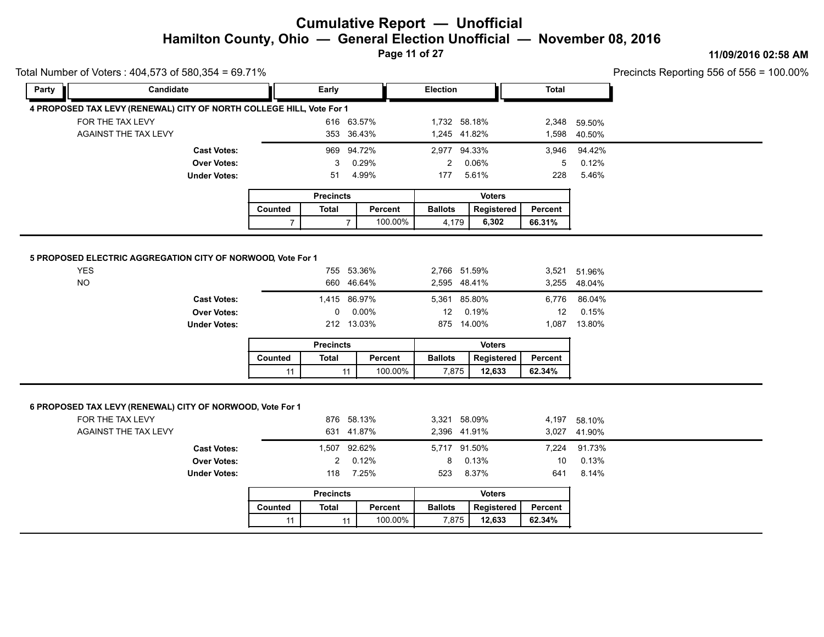**Page 11 of 27**

#### **11/09/2016 02:58 AM**

| Party                   | Candidate                                                            |                | Early            |                          | Election                     |                     | <b>Total</b>   |                              |  |
|-------------------------|----------------------------------------------------------------------|----------------|------------------|--------------------------|------------------------------|---------------------|----------------|------------------------------|--|
|                         | 4 PROPOSED TAX LEVY (RENEWAL) CITY OF NORTH COLLEGE HILL, Vote For 1 |                |                  |                          |                              |                     |                |                              |  |
|                         | FOR THE TAX LEVY                                                     |                |                  | 616 63.57%               | 1,732 58.18%                 |                     | 2,348          | 59.50%                       |  |
|                         | AGAINST THE TAX LEVY                                                 |                |                  | 353 36.43%               | 1,245 41.82%                 |                     |                | 1,598 40.50%                 |  |
|                         | <b>Cast Votes:</b>                                                   |                |                  | 969 94.72%               | 2,977 94.33%                 |                     | 3,946          | 94.42%                       |  |
|                         | <b>Over Votes:</b>                                                   |                | 3                | 0.29%                    | $\overline{2}$               | 0.06%               | 5              | 0.12%                        |  |
|                         | <b>Under Votes:</b>                                                  |                | 51               | 4.99%                    | 177                          | 5.61%               | 228            | 5.46%                        |  |
|                         |                                                                      |                | <b>Precincts</b> |                          |                              | <b>Voters</b>       |                |                              |  |
|                         |                                                                      | <b>Counted</b> | <b>Total</b>     | Percent                  | <b>Ballots</b>               | Registered          | <b>Percent</b> |                              |  |
|                         |                                                                      | $\overline{7}$ | $\overline{7}$   | 100.00%                  | 4,179                        | 6,302               | 66.31%         |                              |  |
|                         | <b>Cast Votes:</b>                                                   |                | 1,415 86.97%     |                          | 5,361 85.80%                 |                     | 6,776          | 86.04%                       |  |
|                         | <b>Over Votes:</b><br><b>Under Votes:</b>                            |                | 0                | 0.00%<br>212 13.03%      | 12                           | 0.19%<br>875 14.00% | 12<br>1,087    | 0.15%<br>13.80%              |  |
|                         |                                                                      |                | <b>Precincts</b> |                          |                              | <b>Voters</b>       |                |                              |  |
|                         |                                                                      | Counted        | <b>Total</b>     | Percent                  | <b>Ballots</b>               | Registered          | Percent        |                              |  |
| <b>YES</b><br><b>NO</b> | 5 PROPOSED ELECTRIC AGGREGATION CITY OF NORWOOD, Vote For 1          |                |                  | 755 53.36%<br>660 46.64% | 2,766 51.59%<br>2,595 48.41% |                     |                | 3,521 51.96%<br>3,255 48.04% |  |
|                         |                                                                      | 11             | 11               | 100.00%                  | 7,875                        | 12,633              | 62.34%         |                              |  |
|                         | 6 PROPOSED TAX LEVY (RENEWAL) CITY OF NORWOOD, Vote For 1            |                |                  |                          |                              |                     |                |                              |  |
|                         | FOR THE TAX LEVY                                                     |                |                  | 876 58.13%               | 3,321 58.09%                 |                     | 4,197          | 58.10%                       |  |
|                         | AGAINST THE TAX LEVY                                                 |                |                  | 631 41.87%               | 2,396 41.91%                 |                     |                | 3,027 41.90%                 |  |
|                         | <b>Cast Votes:</b>                                                   |                | 1,507 92.62%     |                          | 5,717 91.50%                 |                     | 7,224          | 91.73%                       |  |
|                         | <b>Over Votes:</b>                                                   |                | $\overline{2}$   | 0.12%                    | 8                            | 0.13%               | 10             | 0.13%                        |  |
|                         | <b>Under Votes:</b>                                                  |                | 118              | 7.25%                    | 523                          | 8.37%               | 641            | 8.14%                        |  |
|                         |                                                                      |                | <b>Precincts</b> |                          |                              | <b>Voters</b>       |                |                              |  |
|                         |                                                                      | Counted        | <b>Total</b>     | Percent                  | <b>Ballots</b>               | Registered          | Percent        |                              |  |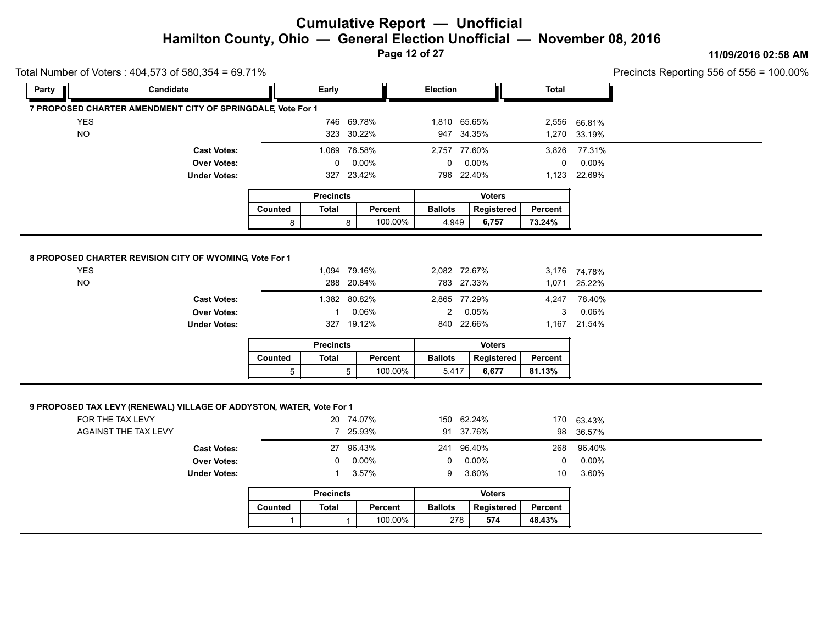**Page 12 of 27**

#### **11/09/2016 02:58 AM**

Precincts Reporting 556 of 556 = 100.00%

|            | Total Number of Voters: 404,573 of 580,354 = 69.71%                  |              |                  |                                     |                                            |                     |                   |                                 | Precincts Reporting 556 of 556 = 1 |  |
|------------|----------------------------------------------------------------------|--------------|------------------|-------------------------------------|--------------------------------------------|---------------------|-------------------|---------------------------------|------------------------------------|--|
| Party      | Candidate                                                            |              | Early            |                                     | Election                                   |                     | <b>Total</b>      |                                 |                                    |  |
|            | 7 PROPOSED CHARTER AMENDMENT CITY OF SPRINGDALE, Vote For 1          |              |                  |                                     |                                            |                     |                   |                                 |                                    |  |
| <b>YES</b> |                                                                      |              |                  | 746 69.78%                          | 1,810 65.65%                               |                     |                   | 2,556 66.81%                    |                                    |  |
| <b>NO</b>  |                                                                      |              |                  | 323 30.22%                          | 947 34.35%                                 |                     |                   | 1,270 33.19%                    |                                    |  |
|            | <b>Cast Votes:</b>                                                   |              |                  | 1,069 76.58%                        | 2,757 77.60%                               |                     | 3,826             | 77.31%                          |                                    |  |
|            | <b>Over Votes:</b>                                                   |              | 0                | $0.00\%$                            | $\mathbf{0}$                               | $0.00\%$            | 0                 | $0.00\%$                        |                                    |  |
|            | <b>Under Votes:</b>                                                  |              |                  | 327 23.42%                          | 796 22.40%                                 |                     |                   | 1,123 22.69%                    |                                    |  |
|            |                                                                      |              | <b>Precincts</b> |                                     |                                            | <b>Voters</b>       |                   |                                 |                                    |  |
|            |                                                                      | Counted      | <b>Total</b>     | Percent                             | <b>Ballots</b>                             | Registered          | Percent           |                                 |                                    |  |
|            |                                                                      | 8            |                  | 100.00%<br>8                        | 4,949                                      | 6,757               | 73.24%            |                                 |                                    |  |
|            | <b>Cast Votes:</b><br><b>Over Votes:</b><br><b>Under Votes:</b>      |              |                  | 1,382 80.82%<br>0.06%<br>327 19.12% | 2,865 77.29%<br>$\mathbf{2}$<br>840 22.66% | 0.05%               | 4,247<br>3        | 78.40%<br>0.06%<br>1,167 21.54% |                                    |  |
|            |                                                                      |              | <b>Precincts</b> |                                     |                                            | <b>Voters</b>       |                   |                                 |                                    |  |
|            |                                                                      | Counted<br>5 | <b>Total</b>     | Percent<br>100.00%<br>5             | <b>Ballots</b><br>5,417                    | Registered<br>6,677 | Percent<br>81.13% |                                 |                                    |  |
|            | 9 PROPOSED TAX LEVY (RENEWAL) VILLAGE OF ADDYSTON, WATER, Vote For 1 |              |                  |                                     |                                            |                     |                   |                                 |                                    |  |
|            | FOR THE TAX LEVY<br><b>AGAINST THE TAX LEVY</b>                      |              |                  | 20 74.07%<br>7 25.93%               | 150 62.24%                                 | 91 37.76%           | 98                | 170 63.43%                      |                                    |  |
|            |                                                                      |              |                  |                                     |                                            |                     |                   | 36.57%                          |                                    |  |
|            | <b>Cast Votes:</b>                                                   |              |                  | 27 96.43%                           | 241 96.40%                                 |                     | 268               | 96.40%                          |                                    |  |
|            | <b>Over Votes:</b>                                                   |              | 0                | 0.00%                               | 0                                          | 0.00%               | 0                 | 0.00%                           |                                    |  |
|            | <b>Under Votes:</b>                                                  |              | 1                | 3.57%                               | 9                                          | 3.60%               | 10                | 3.60%                           |                                    |  |
|            |                                                                      |              | <b>Precincts</b> |                                     |                                            | <b>Voters</b>       |                   |                                 |                                    |  |
|            |                                                                      | Counted      | <b>Total</b>     | Percent                             | <b>Ballots</b>                             | Registered          | Percent           |                                 |                                    |  |

 $11100.00\%$ 

 $278$  574

100.00% **574 48.43%** 

1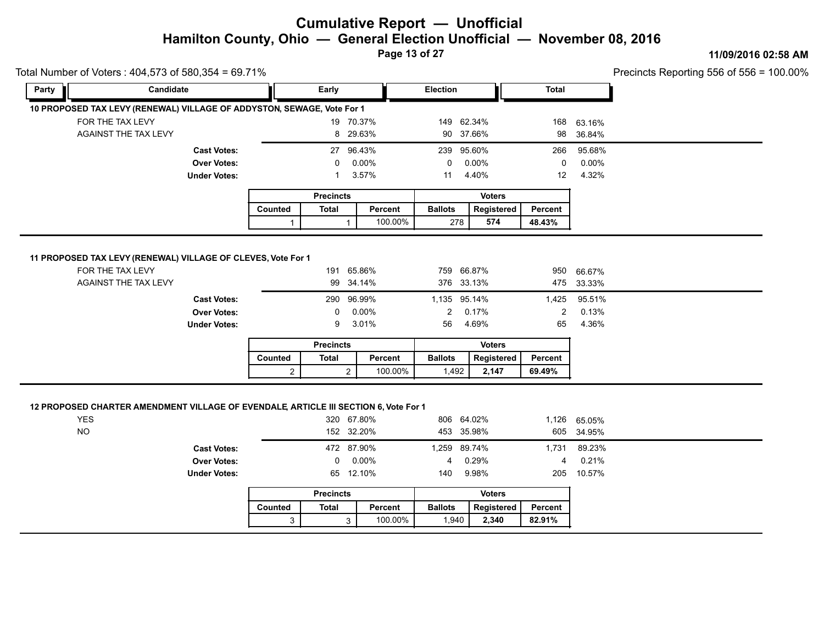**Page 13 of 27**

#### **11/09/2016 02:58 AM**

| Total Number of Voters: 404,573 of 580,354 = 69.71% |                                                                        |         |                  |              |                 |               |              |        |  |
|-----------------------------------------------------|------------------------------------------------------------------------|---------|------------------|--------------|-----------------|---------------|--------------|--------|--|
| Party                                               | Candidate                                                              |         | Early            |              | <b>Election</b> |               | <b>Total</b> |        |  |
|                                                     | 10 PROPOSED TAX LEVY (RENEWAL) VILLAGE OF ADDYSTON, SEWAGE, Vote For 1 |         |                  |              |                 |               |              |        |  |
| FOR THE TAX LEVY                                    |                                                                        |         |                  | 19 70.37%    | 149 62.34%      |               | 168          | 63.16% |  |
|                                                     | <b>AGAINST THE TAX LEVY</b>                                            |         |                  | 8 29.63%     | 90 37.66%       |               | 98           | 36.84% |  |
|                                                     | <b>Cast Votes:</b>                                                     |         |                  | 27 96.43%    | 239 95.60%      |               | 266          | 95.68% |  |
|                                                     | <b>Over Votes:</b>                                                     |         | 0                | $0.00\%$     | 0               | 0.00%         | 0            | 0.00%  |  |
|                                                     | <b>Under Votes:</b>                                                    |         |                  | 3.57%        | 11              | 4.40%         | 12           | 4.32%  |  |
|                                                     |                                                                        |         | <b>Precincts</b> |              |                 | <b>Voters</b> |              |        |  |
|                                                     |                                                                        |         |                  |              | <b>Ballots</b>  | Registered    | Percent      |        |  |
|                                                     |                                                                        | Counted | <b>Total</b>     | Percent      |                 |               |              |        |  |
|                                                     | 11 PROPOSED TAX LEVY (RENEWAL) VILLAGE OF CLEVES, Vote For 1           | 1       |                  | 100.00%<br>1 | 278             | 574           | 48.43%       |        |  |
| FOR THE TAX LEVY                                    |                                                                        |         | 191              | 65.86%       | 759 66.87%      |               | 950          | 66.67% |  |
|                                                     | AGAINST THE TAX LEVY                                                   |         |                  | 99 34.14%    | 376 33.13%      |               | 475          | 33.33% |  |
|                                                     | <b>Cast Votes:</b>                                                     |         |                  | 290 96.99%   | 1,135 95.14%    |               | 1,425        | 95.51% |  |
|                                                     | <b>Over Votes:</b>                                                     |         | $\Omega$         | $0.00\%$     | $\overline{2}$  | 0.17%         | 2            | 0.13%  |  |
|                                                     | <b>Under Votes:</b>                                                    |         | 9                | 3.01%        | 56              | 4.69%         | 65           | 4.36%  |  |
|                                                     |                                                                        |         | <b>Precincts</b> |              |                 | <b>Voters</b> |              |        |  |
|                                                     |                                                                        | Counted | <b>Total</b>     | Percent      | <b>Ballots</b>  | Registered    | Percent      |        |  |

| <b>YES</b><br><b>NO</b> |                     |          | 320 67.80%<br>152 32.20% |     | 806 64.02%<br>453 35.98% |   | 1,126 65.05%<br>605 34.95% |  |
|-------------------------|---------------------|----------|--------------------------|-----|--------------------------|---|----------------------------|--|
|                         | <b>Cast Votes:</b>  |          | 472 87.90%               |     | 1,259 89.74%             |   | 1,731 89.23%               |  |
|                         | <b>Over Votes:</b>  | $^{(1)}$ | 0.00%                    |     | 0.29%                    | 4 | 0.21%                      |  |
|                         | <b>Under Votes:</b> |          | 65 12.10%                | 140 | 9.98%                    |   | 205 10.57%                 |  |
|                         |                     |          |                          |     |                          |   |                            |  |

|         | <b>Precincts</b> |         | <b>Voters</b>  |            |         |  |  |
|---------|------------------|---------|----------------|------------|---------|--|--|
| Counted | Total            | Percent | <b>Ballots</b> | Reaistered | Percent |  |  |
| ⌒       |                  | 100.00% | 1.940          | 2.340      | 82.91%  |  |  |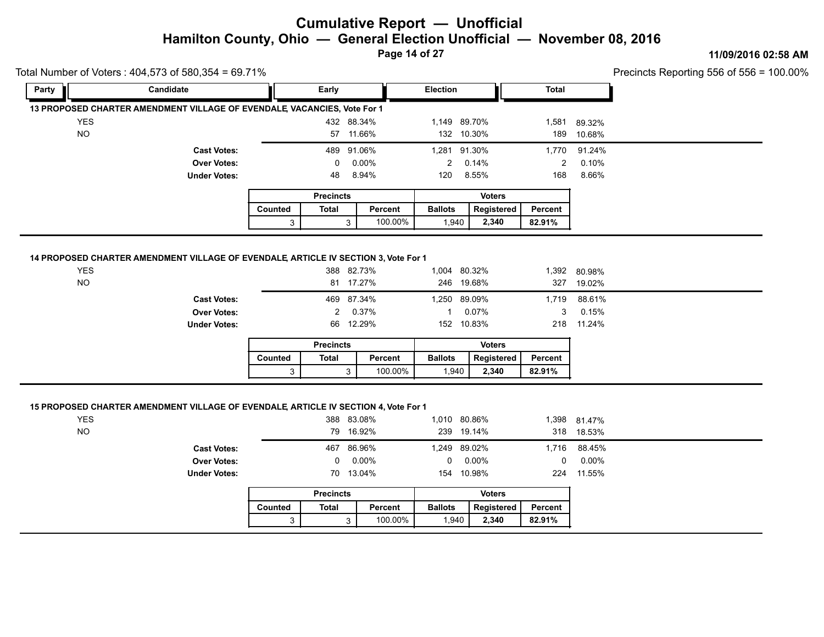**Page 14 of 27**

#### **11/09/2016 02:58 AM**

 $\frac{1}{2}$  ecincts Reporting 556 of 556 = 100.00%

| Fotal Number of Voters: 404,573 of 580,354 = 69.71% |                                                                                    |         |                  |                |                |               |                |                        |  |
|-----------------------------------------------------|------------------------------------------------------------------------------------|---------|------------------|----------------|----------------|---------------|----------------|------------------------|--|
| Party                                               | Candidate                                                                          |         | <b>Early</b>     |                | Election       |               | <b>Total</b>   |                        |  |
|                                                     | 13 PROPOSED CHARTER AMENDMENT VILLAGE OF EVENDALE VACANCIES, Vote For 1            |         |                  |                |                |               |                |                        |  |
| <b>YES</b>                                          |                                                                                    |         |                  | 432 88.34%     | 1,149 89.70%   |               | 1,581          | 89.32%                 |  |
| <b>NO</b>                                           |                                                                                    |         |                  | 57 11.66%      | 132 10.30%     |               | 189            | 10.68%                 |  |
|                                                     | <b>Cast Votes:</b>                                                                 |         |                  | 489 91.06%     | 1,281 91.30%   |               | 1,770          | 91.24%                 |  |
|                                                     | <b>Over Votes:</b>                                                                 |         | $\Omega$         | $0.00\%$       | $2^{\circ}$    | 0.14%         | $\overline{2}$ | 0.10%                  |  |
|                                                     | <b>Under Votes:</b>                                                                |         | 48               | 8.94%          | 120            | 8.55%         | 168            | 8.66%                  |  |
|                                                     |                                                                                    |         | <b>Precincts</b> |                |                | <b>Voters</b> |                |                        |  |
|                                                     |                                                                                    |         |                  |                |                |               |                |                        |  |
|                                                     |                                                                                    | Counted | Total            | Percent        | <b>Ballots</b> | Registered    | Percent        |                        |  |
|                                                     | 14 PROPOSED CHARTER AMENDMENT VILLAGE OF EVENDALE ARTICLE IV SECTION 3, Vote For 1 | 3       |                  | 100.00%<br>3   | 1,940          | 2,340         | 82.91%         |                        |  |
| <b>YES</b>                                          |                                                                                    |         |                  | 388 82.73%     | 1,004 80.32%   |               |                |                        |  |
| <b>NO</b>                                           |                                                                                    |         |                  | 81 17.27%      | 246 19.68%     |               | 327            | 1,392 80.98%<br>19.02% |  |
|                                                     | <b>Cast Votes:</b>                                                                 |         |                  | 469 87.34%     | 1,250 89.09%   |               | 1,719          | 88.61%                 |  |
|                                                     | <b>Over Votes:</b>                                                                 |         | 2                | 0.37%          | $\mathbf{1}$   | 0.07%         | 3              | 0.15%                  |  |
|                                                     | <b>Under Votes:</b>                                                                |         |                  | 66 12.29%      | 152 10.83%     |               |                | 218 11.24%             |  |
|                                                     |                                                                                    |         | <b>Precincts</b> |                |                | <b>Voters</b> |                |                        |  |
|                                                     |                                                                                    | Counted | <b>Total</b>     | <b>Percent</b> | <b>Ballots</b> | Registered    | Percent        |                        |  |

| <b>YES</b>          | 388 83.08%      | 1,010 80.86% |      | 1,398 81.47% |  |
|---------------------|-----------------|--------------|------|--------------|--|
| <b>NO</b>           | 79 16.92%       | 239 19.14%   |      | 318 18.53%   |  |
| <b>Cast Votes:</b>  | 467 86.96%      | 1,249 89.02% | .716 | 88.45%       |  |
| <b>Over Votes:</b>  | $0\quad 0.00\%$ | $0.00\%$     | 0    | 0.00%        |  |
| <b>Under Votes:</b> | 70 13.04%       | 154 10.98%   | 224  | 11.55%       |  |
|                     |                 |              |      |              |  |

|         | <b>Precincts</b> |         |                | <b>Voters</b> |         |
|---------|------------------|---------|----------------|---------------|---------|
| Counted | Total            | Percent | <b>Ballots</b> | Registered    | Percent |
| ົ       |                  | 100.00% | 1.940          | 2.340         | 82.91%  |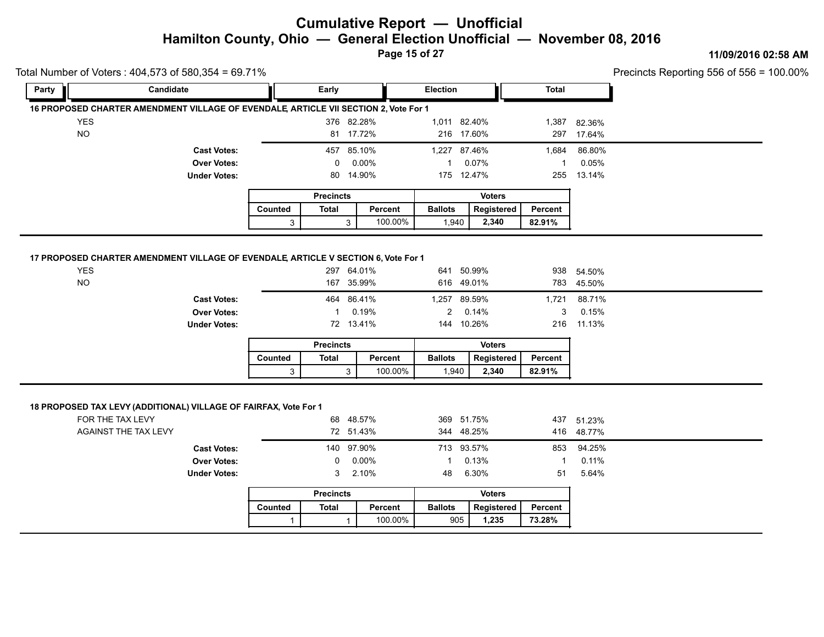**Page 15 of 27**

#### **11/09/2016 02:58 AM**

| Party      | Candidate                                                                                                                                                       |         | Early            |                                                           | Election                                                        |                | <b>Total</b>              |                                         |  |
|------------|-----------------------------------------------------------------------------------------------------------------------------------------------------------------|---------|------------------|-----------------------------------------------------------|-----------------------------------------------------------------|----------------|---------------------------|-----------------------------------------|--|
|            | 16 PROPOSED CHARTER AMENDMENT VILLAGE OF EVENDALE, ARTICLE VII SECTION 2, Vote For 1                                                                            |         |                  |                                                           |                                                                 |                |                           |                                         |  |
| <b>YES</b> |                                                                                                                                                                 |         |                  | 376 82.28%                                                | 1,011 82.40%                                                    |                | 1,387                     | 82.36%                                  |  |
| <b>NO</b>  |                                                                                                                                                                 |         |                  | 81 17.72%                                                 | 216 17.60%                                                      |                | 297                       | 17.64%                                  |  |
|            | <b>Cast Votes:</b>                                                                                                                                              |         |                  | 457 85.10%                                                | 1,227 87.46%                                                    |                | 1,684                     | 86.80%                                  |  |
|            | <b>Over Votes:</b>                                                                                                                                              |         | 0                | 0.00%                                                     | 1                                                               | 0.07%          | $\mathbf{1}$              | 0.05%                                   |  |
|            | <b>Under Votes:</b>                                                                                                                                             |         |                  | 80 14.90%                                                 | 175 12.47%                                                      |                | 255                       | 13.14%                                  |  |
|            |                                                                                                                                                                 |         | <b>Precincts</b> |                                                           |                                                                 | <b>Voters</b>  |                           |                                         |  |
|            |                                                                                                                                                                 | Counted | <b>Total</b>     | Percent                                                   | <b>Ballots</b>                                                  | Registered     | Percent                   |                                         |  |
|            |                                                                                                                                                                 | 3       |                  | 100.00%<br>3 <sup>1</sup>                                 | 1,940                                                           | 2,340          | 82.91%                    |                                         |  |
|            |                                                                                                                                                                 |         |                  |                                                           |                                                                 |                |                           |                                         |  |
|            | 17 PROPOSED CHARTER AMENDMENT VILLAGE OF EVENDALE, ARTICLE V SECTION 6, Vote For 1                                                                              |         |                  |                                                           |                                                                 |                |                           |                                         |  |
| <b>YES</b> |                                                                                                                                                                 |         |                  | 297 64.01%                                                | 641 50.99%                                                      |                |                           | 938 54.50%                              |  |
| <b>NO</b>  |                                                                                                                                                                 |         |                  | 167 35.99%                                                | 616 49.01%                                                      |                |                           | 783 45.50%                              |  |
|            |                                                                                                                                                                 |         |                  |                                                           |                                                                 |                |                           |                                         |  |
|            | <b>Cast Votes:</b>                                                                                                                                              |         | 464              | 86.41%                                                    | 1,257 89.59%                                                    |                | 1,721                     | 88.71%                                  |  |
|            | <b>Over Votes:</b>                                                                                                                                              |         | $\mathbf{1}$     | 0.19%                                                     | $\overline{2}$                                                  | 0.14%          | 3                         | 0.15%                                   |  |
|            | <b>Under Votes:</b>                                                                                                                                             |         |                  | 72 13.41%                                                 | 144 10.26%                                                      |                | 216                       | 11.13%                                  |  |
|            |                                                                                                                                                                 |         | <b>Precincts</b> |                                                           |                                                                 | <b>Voters</b>  |                           |                                         |  |
|            |                                                                                                                                                                 | Counted | <b>Total</b>     | Percent                                                   | <b>Ballots</b>                                                  | Registered     | Percent                   |                                         |  |
|            |                                                                                                                                                                 |         |                  |                                                           |                                                                 |                |                           |                                         |  |
|            | 18 PROPOSED TAX LEVY (ADDITIONAL) VILLAGE OF FAIRFAX, Vote For 1<br>FOR THE TAX LEVY<br><b>AGAINST THE TAX LEVY</b><br><b>Cast Votes:</b><br><b>Over Votes:</b> | 3       | 140<br>0         | 100.00%<br>3<br>68 48.57%<br>72 51.43%<br>97.90%<br>0.00% | 1,940<br>369 51.75%<br>344 48.25%<br>713 93.57%<br>$\mathbf{1}$ | 2,340<br>0.13% | 82.91%<br>437<br>853<br>1 | 51.23%<br>416 48.77%<br>94.25%<br>0.11% |  |
|            | <b>Under Votes:</b>                                                                                                                                             |         | 3                | 2.10%                                                     | 48                                                              | 6.30%          | 51                        | 5.64%                                   |  |
|            |                                                                                                                                                                 |         | <b>Precincts</b> |                                                           |                                                                 | <b>Voters</b>  |                           |                                         |  |
|            |                                                                                                                                                                 | Counted | <b>Total</b>     | Percent                                                   | <b>Ballots</b>                                                  | Registered     | Percent                   |                                         |  |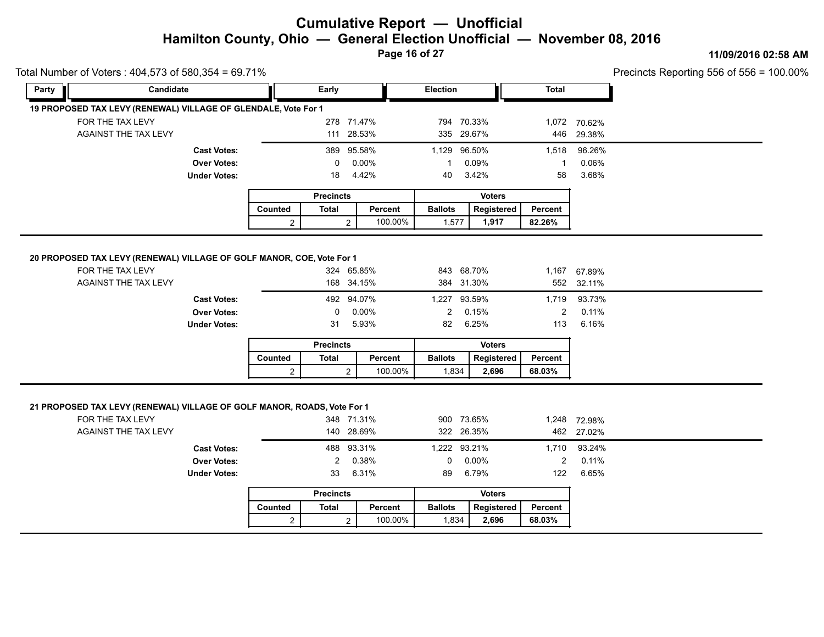**Page 16 of 27**

#### **11/09/2016 02:58 AM**

| Candidate<br>Election<br>Early<br><b>Total</b><br>Party<br>19 PROPOSED TAX LEVY (RENEWAL) VILLAGE OF GLENDALE, Vote For 1<br>FOR THE TAX LEVY<br>278 71.47%<br>794 70.33%<br>1,072 70.62%<br>AGAINST THE TAX LEVY<br>111 28.53%<br>335 29.67%<br>446<br>29.38%<br>389 95.58%<br>1,129 96.50%<br>96.26%<br><b>Cast Votes:</b><br>1,518<br>0.06%<br>0.00%<br>0.09%<br><b>Over Votes:</b><br>0<br>$\mathbf{1}$<br>1<br>3.68%<br><b>Under Votes:</b><br>4.42%<br>3.42%<br>58<br>18<br>40<br><b>Precincts</b><br><b>Voters</b><br><b>Ballots</b><br>Counted<br><b>Total</b><br>Percent<br>Registered<br>Percent<br>100.00%<br>1,917<br>82.26%<br>$\overline{a}$<br>1,577<br>$\overline{2}$<br>20 PROPOSED TAX LEVY (RENEWAL) VILLAGE OF GOLF MANOR, COE, Vote For 1<br>FOR THE TAX LEVY<br>843 68.70%<br>324 65.85%<br>1,167<br>67.89%<br><b>AGAINST THE TAX LEVY</b><br>168 34.15%<br>384 31.30%<br>552<br>32.11%<br>492 94.07%<br>1,227 93.59%<br>93.73%<br><b>Cast Votes:</b><br>1,719<br>0.11%<br><b>Over Votes:</b><br>0.00%<br>$\overline{2}$<br>0.15%<br>2<br>0<br>5.93%<br>82<br>6.25%<br>113<br>6.16%<br><b>Under Votes:</b><br>31<br><b>Voters</b><br><b>Precincts</b><br><b>Total</b><br>Percent<br><b>Ballots</b><br>Counted<br>Registered<br>Percent<br>100.00%<br>2,696<br>68.03%<br>$\overline{2}$<br>1,834<br>$\overline{2}$<br>21 PROPOSED TAX LEVY (RENEWAL) VILLAGE OF GOLF MANOR, ROADS, Vote For 1<br>FOR THE TAX LEVY<br>900 73.65%<br>348 71.31%<br>1,248 72.98%<br>AGAINST THE TAX LEVY<br>140 28.69%<br>322 26.35%<br>462<br>27.02% | Precincts Reporting 556 of 556 = |
|---------------------------------------------------------------------------------------------------------------------------------------------------------------------------------------------------------------------------------------------------------------------------------------------------------------------------------------------------------------------------------------------------------------------------------------------------------------------------------------------------------------------------------------------------------------------------------------------------------------------------------------------------------------------------------------------------------------------------------------------------------------------------------------------------------------------------------------------------------------------------------------------------------------------------------------------------------------------------------------------------------------------------------------------------------------------------------------------------------------------------------------------------------------------------------------------------------------------------------------------------------------------------------------------------------------------------------------------------------------------------------------------------------------------------------------------------------------------------------------------------------------------------------------------------------|----------------------------------|
|                                                                                                                                                                                                                                                                                                                                                                                                                                                                                                                                                                                                                                                                                                                                                                                                                                                                                                                                                                                                                                                                                                                                                                                                                                                                                                                                                                                                                                                                                                                                                         |                                  |
|                                                                                                                                                                                                                                                                                                                                                                                                                                                                                                                                                                                                                                                                                                                                                                                                                                                                                                                                                                                                                                                                                                                                                                                                                                                                                                                                                                                                                                                                                                                                                         |                                  |
|                                                                                                                                                                                                                                                                                                                                                                                                                                                                                                                                                                                                                                                                                                                                                                                                                                                                                                                                                                                                                                                                                                                                                                                                                                                                                                                                                                                                                                                                                                                                                         |                                  |
|                                                                                                                                                                                                                                                                                                                                                                                                                                                                                                                                                                                                                                                                                                                                                                                                                                                                                                                                                                                                                                                                                                                                                                                                                                                                                                                                                                                                                                                                                                                                                         |                                  |
|                                                                                                                                                                                                                                                                                                                                                                                                                                                                                                                                                                                                                                                                                                                                                                                                                                                                                                                                                                                                                                                                                                                                                                                                                                                                                                                                                                                                                                                                                                                                                         |                                  |
|                                                                                                                                                                                                                                                                                                                                                                                                                                                                                                                                                                                                                                                                                                                                                                                                                                                                                                                                                                                                                                                                                                                                                                                                                                                                                                                                                                                                                                                                                                                                                         |                                  |
|                                                                                                                                                                                                                                                                                                                                                                                                                                                                                                                                                                                                                                                                                                                                                                                                                                                                                                                                                                                                                                                                                                                                                                                                                                                                                                                                                                                                                                                                                                                                                         |                                  |
|                                                                                                                                                                                                                                                                                                                                                                                                                                                                                                                                                                                                                                                                                                                                                                                                                                                                                                                                                                                                                                                                                                                                                                                                                                                                                                                                                                                                                                                                                                                                                         |                                  |
|                                                                                                                                                                                                                                                                                                                                                                                                                                                                                                                                                                                                                                                                                                                                                                                                                                                                                                                                                                                                                                                                                                                                                                                                                                                                                                                                                                                                                                                                                                                                                         |                                  |
|                                                                                                                                                                                                                                                                                                                                                                                                                                                                                                                                                                                                                                                                                                                                                                                                                                                                                                                                                                                                                                                                                                                                                                                                                                                                                                                                                                                                                                                                                                                                                         |                                  |
|                                                                                                                                                                                                                                                                                                                                                                                                                                                                                                                                                                                                                                                                                                                                                                                                                                                                                                                                                                                                                                                                                                                                                                                                                                                                                                                                                                                                                                                                                                                                                         |                                  |
|                                                                                                                                                                                                                                                                                                                                                                                                                                                                                                                                                                                                                                                                                                                                                                                                                                                                                                                                                                                                                                                                                                                                                                                                                                                                                                                                                                                                                                                                                                                                                         |                                  |
|                                                                                                                                                                                                                                                                                                                                                                                                                                                                                                                                                                                                                                                                                                                                                                                                                                                                                                                                                                                                                                                                                                                                                                                                                                                                                                                                                                                                                                                                                                                                                         |                                  |
| <b>Cast Votes:</b><br>488 93.31%<br>1,222 93.21%<br>93.24%<br>1,710<br><b>Over Votes:</b><br>0.38%<br>$0.00\%$<br>2<br>0.11%<br>$\overline{2}$<br>0<br>6.31%<br>6.79%<br>122<br>6.65%<br>33<br>89<br><b>Under Votes:</b>                                                                                                                                                                                                                                                                                                                                                                                                                                                                                                                                                                                                                                                                                                                                                                                                                                                                                                                                                                                                                                                                                                                                                                                                                                                                                                                                |                                  |
| <b>Motore</b><br><b>Drocincts</b>                                                                                                                                                                                                                                                                                                                                                                                                                                                                                                                                                                                                                                                                                                                                                                                                                                                                                                                                                                                                                                                                                                                                                                                                                                                                                                                                                                                                                                                                                                                       |                                  |

|                  | <b>Precincts</b> |         | <b>Voters</b>  |            |         |  |  |  |
|------------------|------------------|---------|----------------|------------|---------|--|--|--|
| Total<br>Counted |                  | Percent | <b>Ballots</b> | Reaistered | Percent |  |  |  |
| ⌒                |                  | 100.00% | 1.834          | 2.696      | 68.03%  |  |  |  |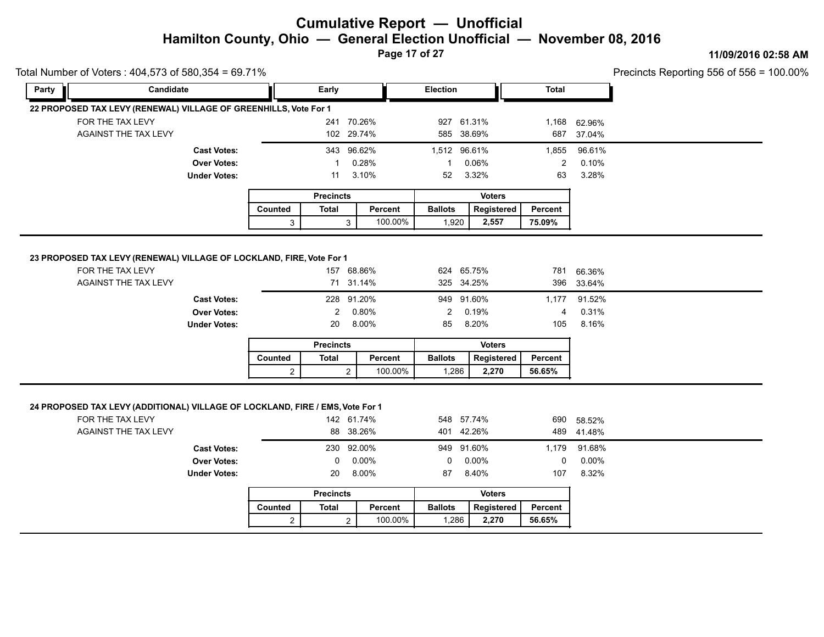**Page 17 of 27**

#### **11/09/2016 02:58 AM**

| Total Number of Voters: 404,573 of 580,354 = 69.71%                                                                              |                                                                 |                |                      |                                            |                      |                                                 |                          |                                     | Precincts Reporting 556 of 556 = $\degree$ |
|----------------------------------------------------------------------------------------------------------------------------------|-----------------------------------------------------------------|----------------|----------------------|--------------------------------------------|----------------------|-------------------------------------------------|--------------------------|-------------------------------------|--------------------------------------------|
| Party                                                                                                                            | Candidate                                                       |                | Early                |                                            | Election             |                                                 | <b>Total</b>             |                                     |                                            |
| 22 PROPOSED TAX LEVY (RENEWAL) VILLAGE OF GREENHILLS, Vote For 1                                                                 |                                                                 |                |                      |                                            |                      |                                                 |                          |                                     |                                            |
| FOR THE TAX LEVY                                                                                                                 |                                                                 |                |                      | 241 70.26%                                 |                      | 927 61.31%                                      | 1,168                    | 62.96%                              |                                            |
| AGAINST THE TAX LEVY                                                                                                             |                                                                 |                |                      | 102 29.74%                                 |                      | 585 38.69%                                      | 687                      | 37.04%                              |                                            |
|                                                                                                                                  | <b>Cast Votes:</b>                                              |                |                      | 343 96.62%                                 | 1,512 96.61%         |                                                 | 1,855                    | 96.61%                              |                                            |
|                                                                                                                                  | <b>Over Votes:</b>                                              |                |                      | 0.28%                                      | $\mathbf{1}$         | 0.06%                                           | $\overline{2}$           | 0.10%                               |                                            |
|                                                                                                                                  | <b>Under Votes:</b>                                             |                | 11                   | 3.10%                                      | 52                   | 3.32%                                           | 63                       | 3.28%                               |                                            |
|                                                                                                                                  |                                                                 |                | <b>Precincts</b>     |                                            |                      | <b>Voters</b>                                   |                          |                                     |                                            |
|                                                                                                                                  |                                                                 | Counted        | <b>Total</b>         | Percent                                    | <b>Ballots</b>       | Registered                                      | Percent                  |                                     |                                            |
|                                                                                                                                  |                                                                 | 3              |                      | 100.00%<br>3                               | 1,920                | 2,557                                           | 75.09%                   |                                     |                                            |
|                                                                                                                                  | <b>Cast Votes:</b><br><b>Over Votes:</b><br><b>Under Votes:</b> |                | $\overline{2}$<br>20 | 228 91.20%<br>0.80%<br>8.00%               | $\overline{2}$<br>85 | 949 91.60%<br>0.19%<br>8.20%                    | 1,177<br>4<br>105        | 91.52%<br>0.31%<br>8.16%            |                                            |
|                                                                                                                                  |                                                                 |                | <b>Precincts</b>     |                                            |                      | <b>Voters</b>                                   |                          |                                     |                                            |
|                                                                                                                                  |                                                                 | Counted        | <b>Total</b>         | Percent                                    | <b>Ballots</b>       | Registered                                      | Percent                  |                                     |                                            |
|                                                                                                                                  |                                                                 | $\overline{2}$ |                      | 100.00%<br>$\overline{2}$                  | 1,286                | 2,270                                           | 56.65%                   |                                     |                                            |
| 24 PROPOSED TAX LEVY (ADDITIONAL) VILLAGE OF LOCKLAND, FIRE / EMS, Vote For 1<br>FOR THE TAX LEVY<br><b>AGAINST THE TAX LEVY</b> | <b>Cast Votes:</b><br><b>Over Votes:</b>                        |                | 230<br>0             | 142 61.74%<br>88 38.26%<br>92.00%<br>0.00% | 0                    | 548 57.74%<br>401 42.26%<br>949 91.60%<br>0.00% | 690<br>489<br>1,179<br>0 | 58.52%<br>41.48%<br>91.68%<br>0.00% |                                            |
|                                                                                                                                  | <b>Under Votes:</b>                                             |                | 20                   | 8.00%                                      | 87                   | 8.40%                                           | 107                      | 8.32%                               |                                            |
|                                                                                                                                  |                                                                 |                |                      |                                            |                      |                                                 |                          |                                     |                                            |

|         | <b>Precincts</b> |         | <b>Voters</b>  |            |         |  |  |  |
|---------|------------------|---------|----------------|------------|---------|--|--|--|
| Counted | Total            | Percent | <b>Ballots</b> | Reaistered | Percent |  |  |  |
|         |                  | 100.00% | .286           | 2.270      | 56.65%  |  |  |  |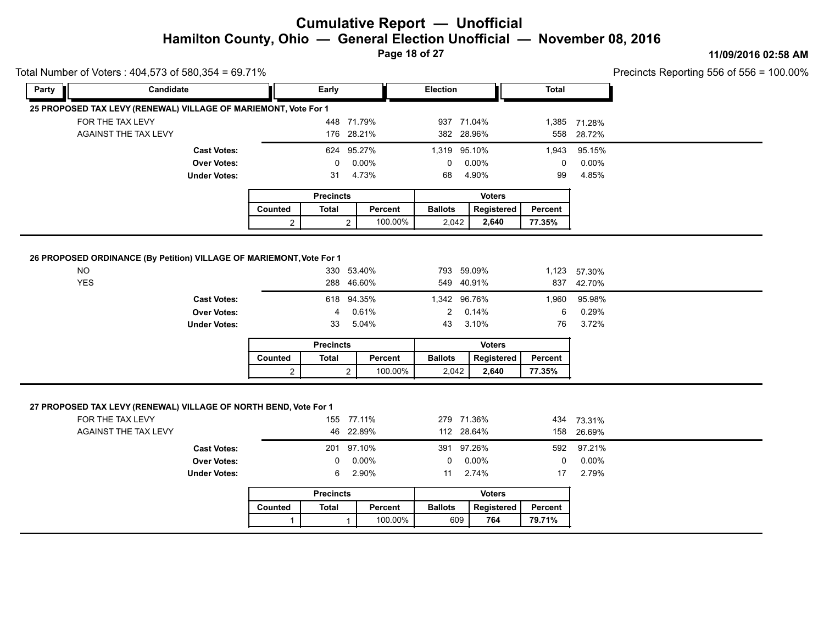**Page 18 of 27**

#### **11/09/2016 02:58 AM**

Precincts Reporting 556 of 556 = 100.00%

|       | Total Number of Voters: 404,573 of 580,354 = 69.71%                                                          |                |                  |                |                          |                |                    |                      | Precincts Reporting 556 of 556 = 2 |
|-------|--------------------------------------------------------------------------------------------------------------|----------------|------------------|----------------|--------------------------|----------------|--------------------|----------------------|------------------------------------|
| Party | Candidate                                                                                                    |                | Early            |                | <b>Election</b>          |                | <b>Total</b>       |                      |                                    |
|       | 25 PROPOSED TAX LEVY (RENEWAL) VILLAGE OF MARIEMONT, Vote For 1                                              |                |                  |                |                          |                |                    |                      |                                    |
|       | FOR THE TAX LEVY                                                                                             |                | 448 71.79%       |                | 937 71.04%               |                |                    | 1,385 71.28%         |                                    |
|       | <b>AGAINST THE TAX LEVY</b>                                                                                  |                | 176 28.21%       |                | 382 28.96%               |                | 558                | 28.72%               |                                    |
|       | <b>Cast Votes:</b>                                                                                           |                | 624 95.27%       |                | 1,319 95.10%             |                | 1,943              | 95.15%               |                                    |
|       | <b>Over Votes:</b>                                                                                           |                | 0                | 0.00%          | 0                        | 0.00%          | $\mathbf 0$        | 0.00%                |                                    |
|       | <b>Under Votes:</b>                                                                                          |                | 31               | 4.73%          | 68                       | 4.90%          | 99                 | 4.85%                |                                    |
|       |                                                                                                              |                | <b>Precincts</b> |                |                          | <b>Voters</b>  |                    |                      |                                    |
|       |                                                                                                              | Counted        | <b>Total</b>     | Percent        | <b>Ballots</b>           | Registered     | Percent            |                      |                                    |
|       |                                                                                                              | $\overline{2}$ | $\overline{2}$   | 100.00%        | 2,042                    | 2,640          | 77.35%             |                      |                                    |
|       | <b>Over Votes:</b><br><b>Under Votes:</b>                                                                    |                | 4<br>33          | 0.61%<br>5.04% | $\overline{c}$<br>43     | 0.14%<br>3.10% | 6<br>76            | 0.29%<br>3.72%       |                                    |
|       |                                                                                                              |                | <b>Precincts</b> |                |                          | <b>Voters</b>  |                    |                      |                                    |
|       |                                                                                                              | Counted        | <b>Total</b>     | Percent        | <b>Ballots</b>           | Registered     | Percent            |                      |                                    |
|       |                                                                                                              | $\overline{2}$ | $\overline{2}$   | 100.00%        | 2,042                    | 2,640          | 77.35%             |                      |                                    |
|       | 27 PROPOSED TAX LEVY (RENEWAL) VILLAGE OF NORTH BEND, Vote For 1<br>FOR THE TAX LEVY<br>AGAINST THE TAX LEVY |                | 155 77.11%<br>46 | 22.89%         | 279 71.36%<br>112 28.64% |                | 158                | 434 73.31%<br>26.69% |                                    |
|       |                                                                                                              |                |                  |                |                          |                |                    |                      |                                    |
|       | <b>Cast Votes:</b><br><b>Over Votes:</b>                                                                     |                | 201 97.10%<br>0  | 0.00%          | 391 97.26%<br>0          | 0.00%          | 592<br>$\mathbf 0$ | 97.21%<br>0.00%      |                                    |
|       | <b>Under Votes:</b>                                                                                          |                | 6                | 2.90%          | 11                       | 2.74%          | 17                 | 2.79%                |                                    |
|       |                                                                                                              |                |                  |                |                          |                |                    |                      |                                    |
|       |                                                                                                              |                | <b>Precincts</b> |                |                          | <b>Voters</b>  |                    |                      |                                    |
|       |                                                                                                              | Counted        | <b>Total</b>     | Percent        | <b>Ballots</b>           | Registered     | <b>Percent</b>     |                      |                                    |
|       |                                                                                                              | $\mathbf{1}$   | $\mathbf{1}$     | 100.00%        | 609                      | 764            | 79.71%             |                      |                                    |

1 100.00% **764 79.71%**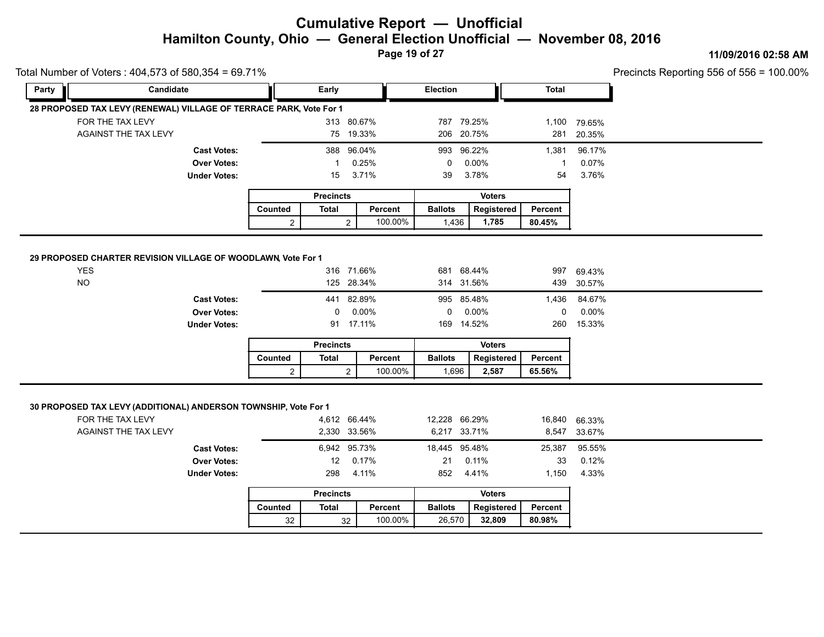**Page 19 of 27**

#### **11/09/2016 02:58 AM**

|       | Total Number of Voters: 404,573 of 580,354 = 69.71%                                                                |                |                              |                    |                               |               |                 |                  | Precincts Reporting 556 of 556 = 1 |
|-------|--------------------------------------------------------------------------------------------------------------------|----------------|------------------------------|--------------------|-------------------------------|---------------|-----------------|------------------|------------------------------------|
| Party | Candidate                                                                                                          |                | Early                        |                    | Election                      |               | <b>Total</b>    |                  |                                    |
|       | 28 PROPOSED TAX LEVY (RENEWAL) VILLAGE OF TERRACE PARK, Vote For 1                                                 |                |                              |                    |                               |               |                 |                  |                                    |
|       | FOR THE TAX LEVY                                                                                                   |                |                              | 313 80.67%         | 787 79.25%                    |               | 1,100           | 79.65%           |                                    |
|       | AGAINST THE TAX LEVY                                                                                               |                |                              | 75 19.33%          | 206 20.75%                    |               | 281             | 20.35%           |                                    |
|       | <b>Cast Votes:</b>                                                                                                 |                | 388                          | 96.04%             | 993 96.22%                    |               | 1,381           | 96.17%           |                                    |
|       | <b>Over Votes:</b>                                                                                                 |                | 1                            | 0.25%              | 0                             | 0.00%         | $\mathbf{1}$    | 0.07%            |                                    |
|       | <b>Under Votes:</b>                                                                                                |                | 15                           | 3.71%              | 39                            | 3.78%         | 54              | 3.76%            |                                    |
|       |                                                                                                                    |                | <b>Precincts</b>             |                    |                               | <b>Voters</b> |                 |                  |                                    |
|       |                                                                                                                    | Counted        | <b>Total</b>                 | Percent            | <b>Ballots</b>                | Registered    | Percent         |                  |                                    |
|       |                                                                                                                    | $\overline{2}$ | $\overline{2}$               | 100.00%            | 1,436                         | 1,785         | 80.45%          |                  |                                    |
|       | <b>Over Votes:</b><br><b>Under Votes:</b>                                                                          |                | 0                            | 0.00%<br>91 17.11% | 0<br>169 14.52%               | 0.00%         | 0<br>260        | 0.00%<br>15.33%  |                                    |
|       |                                                                                                                    |                | <b>Precincts</b>             |                    |                               | <b>Voters</b> |                 |                  |                                    |
|       |                                                                                                                    | Counted        | <b>Total</b>                 | Percent            | <b>Ballots</b>                | Registered    | Percent         |                  |                                    |
|       |                                                                                                                    | 2              | 2                            | 100.00%            | 1,696                         | 2,587         | 65.56%          |                  |                                    |
|       | 30 PROPOSED TAX LEVY (ADDITIONAL) ANDERSON TOWNSHIP, Vote For 1<br>FOR THE TAX LEVY<br><b>AGAINST THE TAX LEVY</b> |                | 4,612 66.44%<br>2,330 33.56% |                    | 12,228 66.29%<br>6,217 33.71% |               | 16,840<br>8,547 | 66.33%<br>33.67% |                                    |
|       | <b>Cast Votes:</b><br><b>Over Votes:</b>                                                                           |                | 6,942 95.73%<br>12           | 0.17%              | 18,445 95.48%<br>21           | 0.11%         | 25,387<br>33    | 95.55%<br>0.12%  |                                    |
|       | <b>Under Votes:</b>                                                                                                |                | 298                          | 4.11%              | 852                           | 4.41%         | 1,150           | 4.33%            |                                    |
|       |                                                                                                                    |                | <b>Precincts</b>             |                    |                               | <b>Voters</b> |                 |                  |                                    |
|       |                                                                                                                    | Counted        | <b>Total</b>                 | Percent            | <b>Ballots</b>                | Registered    | <b>Percent</b>  |                  |                                    |
|       |                                                                                                                    | 32             | 32                           | 100.00%            | 26,570                        | 32,809        | 80.98%          |                  |                                    |
|       |                                                                                                                    |                |                              |                    |                               |               |                 |                  |                                    |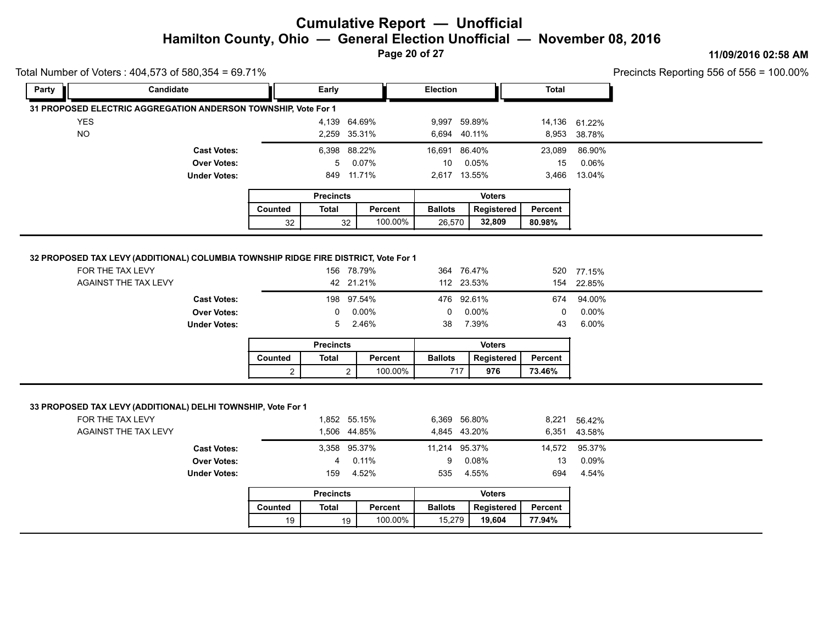**Page 20 of 27**

#### **11/09/2016 02:58 AM**

Precincts Reporting 556 of 556 = 100.00%

19 100.00% **19,604 77.94%**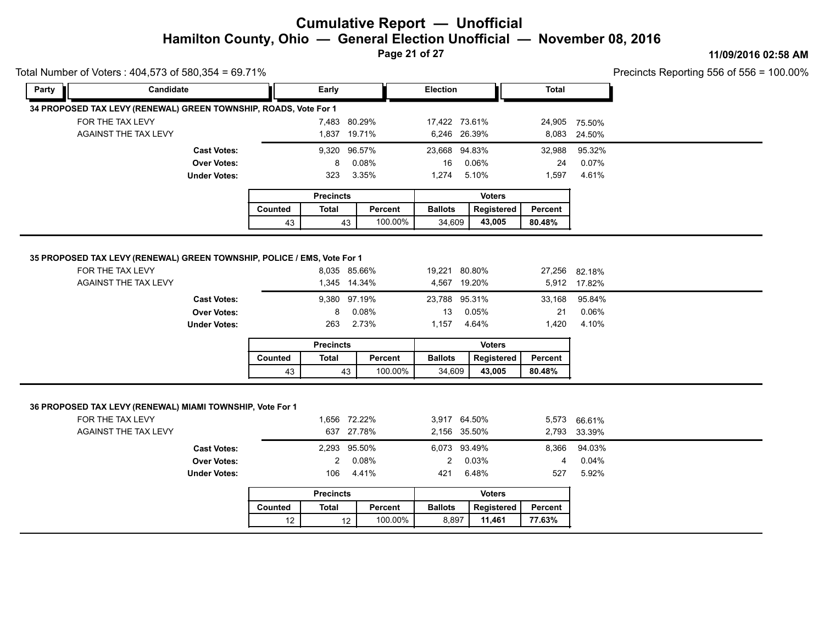**Page 21 of 27**

#### **11/09/2016 02:58 AM**

Precincts Reporting 556 of 556 = 100.00%

| Total Number of Voters: 404,573 of 580,354 = 69.71% |                                                                                                              |                                                                 |         |                              |                                            |         |                                              |                                 |                       |                                  | Precincts Reporting 556 of 556 = 2 |
|-----------------------------------------------------|--------------------------------------------------------------------------------------------------------------|-----------------------------------------------------------------|---------|------------------------------|--------------------------------------------|---------|----------------------------------------------|---------------------------------|-----------------------|----------------------------------|------------------------------------|
| Party                                               | Candidate                                                                                                    |                                                                 |         | <b>Early</b>                 |                                            |         | Election                                     |                                 | <b>Total</b>          |                                  |                                    |
|                                                     | 34 PROPOSED TAX LEVY (RENEWAL) GREEN TOWNSHIP, ROADS, Vote For 1                                             |                                                                 |         |                              |                                            |         |                                              |                                 |                       |                                  |                                    |
|                                                     | FOR THE TAX LEVY                                                                                             |                                                                 |         |                              | 7,483 80.29%                               |         | 17,422 73.61%                                |                                 |                       | 24,905 75.50%                    |                                    |
|                                                     | AGAINST THE TAX LEVY                                                                                         |                                                                 |         |                              | 1,837 19.71%                               |         | 6,246 26.39%                                 |                                 |                       | 8,083 24.50%                     |                                    |
|                                                     |                                                                                                              | <b>Cast Votes:</b>                                              |         |                              | 9,320 96.57%                               |         | 23,668 94.83%                                |                                 | 32,988                | 95.32%                           |                                    |
|                                                     |                                                                                                              | <b>Over Votes:</b>                                              |         | 8                            | 0.08%                                      |         | 16                                           | 0.06%                           | 24                    | 0.07%                            |                                    |
|                                                     |                                                                                                              | <b>Under Votes:</b>                                             |         | 323                          | 3.35%                                      |         | 1,274                                        | 5.10%                           | 1,597                 | 4.61%                            |                                    |
|                                                     |                                                                                                              |                                                                 |         | <b>Precincts</b>             |                                            |         |                                              | <b>Voters</b>                   |                       |                                  |                                    |
|                                                     |                                                                                                              |                                                                 | Counted | <b>Total</b>                 |                                            | Percent | <b>Ballots</b>                               | Registered                      | Percent               |                                  |                                    |
|                                                     |                                                                                                              |                                                                 | 43      |                              | 43                                         | 100.00% | 34,609                                       | 43,005                          | 80.48%                |                                  |                                    |
|                                                     |                                                                                                              | <b>Cast Votes:</b><br><b>Over Votes:</b><br><b>Under Votes:</b> |         | 8<br>263<br><b>Precincts</b> | 9,380 97.19%<br>0.08%<br>2.73%             |         | 23,788 95.31%<br>13<br>1,157                 | 0.05%<br>4.64%<br><b>Voters</b> | 33,168<br>21<br>1,420 | 95.84%<br>0.06%<br>4.10%         |                                    |
|                                                     |                                                                                                              |                                                                 | Counted | <b>Total</b>                 |                                            | Percent | <b>Ballots</b>                               | Registered                      | Percent               |                                  |                                    |
|                                                     |                                                                                                              |                                                                 | 43      |                              | 43                                         | 100.00% | 34,609                                       | 43,005                          | 80.48%                |                                  |                                    |
|                                                     | 36 PROPOSED TAX LEVY (RENEWAL) MIAMI TOWNSHIP, Vote For 1<br>FOR THE TAX LEVY<br><b>AGAINST THE TAX LEVY</b> | <b>Cast Votes:</b>                                              |         |                              | 1,656 72.22%<br>637 27.78%<br>2,293 95.50% |         | 3,917 64.50%<br>2,156 35.50%<br>6,073 93.49% |                                 | 2,793<br>8,366        | 5,573 66.61%<br>33.39%<br>94.03% |                                    |
|                                                     |                                                                                                              | <b>Over Votes:</b>                                              |         | $\overline{2}$               | 0.08%                                      |         | $\overline{2}$                               | 0.03%                           | 4                     | 0.04%                            |                                    |
|                                                     |                                                                                                              | <b>Under Votes:</b>                                             |         | 106                          | 4.41%                                      |         | 421                                          | 6.48%                           | 527                   | 5.92%                            |                                    |
|                                                     |                                                                                                              |                                                                 |         | <b>Precincts</b>             |                                            |         |                                              | <b>Voters</b>                   |                       |                                  |                                    |
|                                                     |                                                                                                              |                                                                 | Counted | Total                        |                                            | Percent | <b>Ballots</b>                               | Registered                      | Percent               |                                  |                                    |

100.00%

8,897 11,461

100.00% **11,461 77.63%** 

 $12$  12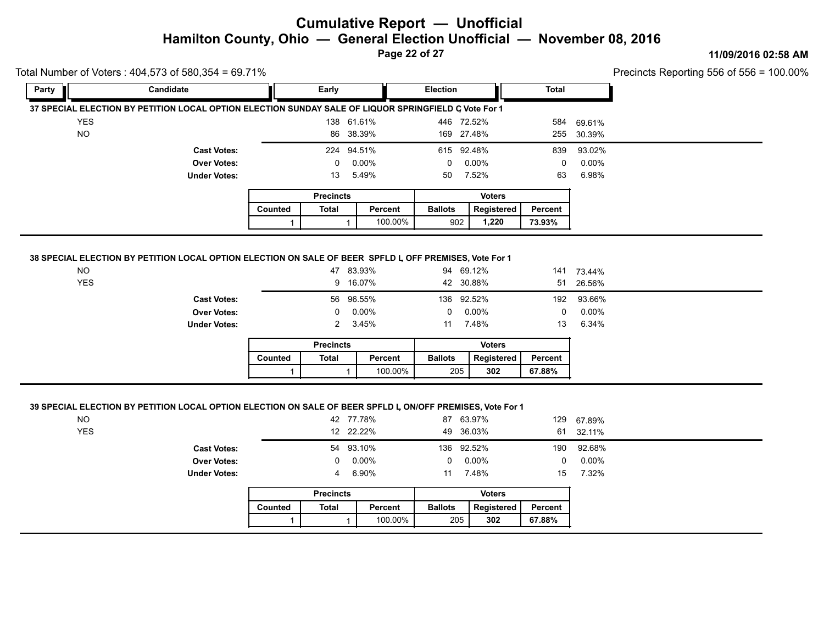**Page 22 of 27**

#### **11/09/2016 02:58 AM**

Precincts Reporting 556 of 556 = 100.00%

|                                                                                                                         | Total Number of Voters: 404,573 of 580,354 = 69.71%             |         |                     |                                         |                       |                                |                      |                                    | Precincts Reporting 556 of 556 = |
|-------------------------------------------------------------------------------------------------------------------------|-----------------------------------------------------------------|---------|---------------------|-----------------------------------------|-----------------------|--------------------------------|----------------------|------------------------------------|----------------------------------|
| Party                                                                                                                   | Candidate                                                       |         | Early               |                                         | <b>Election</b>       |                                | <b>Total</b>         |                                    |                                  |
| 37 SPECIAL ELECTION BY PETITION LOCAL OPTION ELECTION SUNDAY SALE OF LIQUOR SPRINGFIELD G Vote For 1                    |                                                                 |         |                     |                                         |                       |                                |                      |                                    |                                  |
| <b>YES</b>                                                                                                              |                                                                 |         |                     | 138 61.61%                              | 446 72.52%            |                                | 584                  | 69.61%                             |                                  |
| <b>NO</b>                                                                                                               |                                                                 |         |                     | 86 38.39%                               | 169 27.48%            |                                | 255                  | 30.39%                             |                                  |
|                                                                                                                         | <b>Cast Votes:</b>                                              |         |                     | 224 94.51%                              | 615 92.48%            |                                | 839                  | 93.02%                             |                                  |
|                                                                                                                         | <b>Over Votes:</b>                                              |         | 0                   | 0.00%                                   | 0                     | 0.00%                          | 0                    | $0.00\%$                           |                                  |
|                                                                                                                         | <b>Under Votes:</b>                                             |         | 13                  | 5.49%                                   | 50                    | 7.52%                          | 63                   | 6.98%                              |                                  |
|                                                                                                                         |                                                                 |         | <b>Precincts</b>    |                                         |                       | <b>Voters</b>                  |                      |                                    |                                  |
|                                                                                                                         |                                                                 | Counted | <b>Total</b>        | Percent                                 | <b>Ballots</b>        | Registered                     | Percent              |                                    |                                  |
|                                                                                                                         |                                                                 | 1       |                     | 100.00%<br>$\mathbf{1}$                 | 902                   | 1,220                          | 73.93%               |                                    |                                  |
| <b>YES</b>                                                                                                              | <b>Cast Votes:</b><br><b>Over Votes:</b><br><b>Under Votes:</b> |         | 0<br>$\overline{2}$ | 9 16.07%<br>56 96.55%<br>0.00%<br>3.45% | 136 92.52%<br>0<br>11 | 42 30.88%<br>$0.00\%$<br>7.48% | 51<br>192<br>0<br>13 | 26.56%<br>93.66%<br>0.00%<br>6.34% |                                  |
|                                                                                                                         |                                                                 |         | <b>Precincts</b>    |                                         |                       | <b>Voters</b>                  |                      |                                    |                                  |
|                                                                                                                         |                                                                 | Counted | <b>Total</b>        | Percent                                 | <b>Ballots</b>        | Registered                     | Percent              |                                    |                                  |
|                                                                                                                         |                                                                 |         |                     |                                         |                       |                                |                      |                                    |                                  |
|                                                                                                                         |                                                                 |         |                     | 100.00%                                 | 205                   | 302                            | 67.88%               |                                    |                                  |
| 39 SPECIAL ELECTION BY PETITION LOCAL OPTION ELECTION ON SALE OF BEER SPFLD L, ON/OFF PREMISES, Vote For 1<br><b>NO</b> |                                                                 |         |                     | 42 77.78%                               |                       | 87 63.97%                      | 129                  | 67.89%                             |                                  |
| <b>YES</b>                                                                                                              | <b>Cast Votes:</b>                                              |         |                     | 12 22.22%<br>54 93.10%                  | 136 92.52%            | 49 36.03%                      | 61<br>190            | 32.11%<br>92.68%                   |                                  |

Under Votes: 4 6.90%

|         | Voters<br><b>Precincts</b> |         |                |            |                |  |  |  |
|---------|----------------------------|---------|----------------|------------|----------------|--|--|--|
| Counted | Total                      | Percent | <b>Ballots</b> | Registered | <b>Percent</b> |  |  |  |
|         |                            | 100.00% | 205            | 302        | 67.88%         |  |  |  |

11 7.48%

11 7.48% 15 7.32%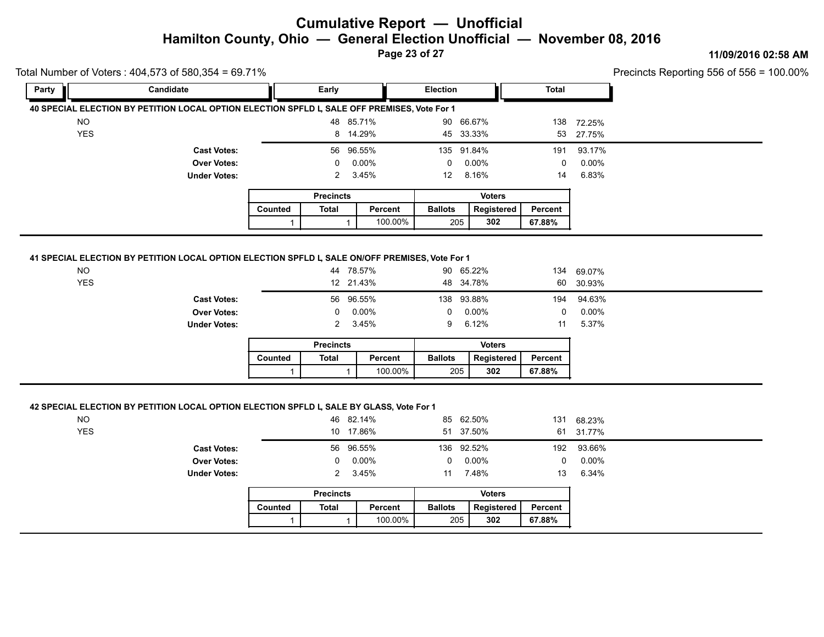**Page 23 of 27**

#### **11/09/2016 02:58 AM**

100.00%

|                         | Total Number of Voters : 404,573 of 580,354 = 69.71%                                         |         |                            |                             |                        |                                 |                |                             | Precincts Reporting 556 of 556 = |
|-------------------------|----------------------------------------------------------------------------------------------|---------|----------------------------|-----------------------------|------------------------|---------------------------------|----------------|-----------------------------|----------------------------------|
| Party                   | Candidate                                                                                    |         | Early                      |                             | Election               |                                 | <b>Total</b>   |                             |                                  |
|                         | 40 SPECIAL ELECTION BY PETITION LOCAL OPTION ELECTION SPFLD L, SALE OFF PREMISES, Vote For 1 |         |                            |                             |                        |                                 |                |                             |                                  |
| <b>NO</b>               |                                                                                              |         |                            | 48 85.71%                   | 90 66.67%              |                                 |                | 138 72.25%                  |                                  |
| <b>YES</b>              |                                                                                              |         |                            | 8 14.29%                    | 45 33.33%              |                                 | 53             | 27.75%                      |                                  |
|                         | <b>Cast Votes:</b>                                                                           |         |                            | 56 96.55%                   | 135 91.84%             |                                 | 191            | 93.17%                      |                                  |
|                         | <b>Over Votes:</b>                                                                           |         | 0                          | 0.00%                       | $\mathbf 0$            | 0.00%                           | $\mathbf 0$    | $0.00\%$                    |                                  |
|                         | <b>Under Votes:</b>                                                                          |         | 2                          | 3.45%                       | 12                     | 8.16%                           | 14             | 6.83%                       |                                  |
|                         |                                                                                              |         | <b>Precincts</b>           |                             |                        | <b>Voters</b>                   |                |                             |                                  |
|                         |                                                                                              | Counted | <b>Total</b>               | <b>Percent</b>              | <b>Ballots</b>         | Registered                      | Percent        |                             |                                  |
|                         |                                                                                              |         |                            | 100.00%                     | 205                    | 302                             | 67.88%         |                             |                                  |
|                         | <b>Cast Votes:</b><br><b>Over Votes:</b><br><b>Under Votes:</b>                              |         | 0<br>2<br><b>Precincts</b> | 56 96.55%<br>0.00%<br>3.45% | 138 93.88%<br>0<br>9   | 0.00%<br>6.12%<br><b>Voters</b> | 194<br>0<br>11 | 94.63%<br>$0.00\%$<br>5.37% |                                  |
|                         |                                                                                              | Counted | <b>Total</b>               | Percent                     | <b>Ballots</b>         | Registered                      | Percent        |                             |                                  |
|                         |                                                                                              |         | $\mathbf 1$                | 100.00%                     | 205                    | 302                             | 67.88%         |                             |                                  |
| <b>NO</b><br><b>YES</b> | 42 SPECIAL ELECTION BY PETITION LOCAL OPTION ELECTION SPFLD L, SALE BY GLASS, Vote For 1     |         |                            | 46 82.14%<br>10 17.86%      | 85 62.50%<br>51 37.50% |                                 |                | 131 68.23%<br>61 31.77%     |                                  |
|                         | <b>Cast Votes:</b>                                                                           |         |                            | 56 96.55%                   | 136 92.52%             |                                 | 192            | 93.66%                      |                                  |
|                         | <b>Over Votes:</b>                                                                           |         | 0                          | $0.00\%$                    | 0                      | $0.00\%$                        | $\mathbf 0$    | $0.00\%$                    |                                  |
|                         | <b>Under Votes:</b>                                                                          |         | 2                          | 3.45%                       | 11 7.48%               |                                 | 13             | 6.34%                       |                                  |
|                         |                                                                                              |         | <b>Precincts</b>           |                             |                        | <b>Voters</b>                   |                |                             |                                  |

|         | <b>Precincts</b> |         | <b>Voters</b>  |            |         |  |  |  |
|---------|------------------|---------|----------------|------------|---------|--|--|--|
| Counted | Total            | Percent | <b>Ballots</b> | Reaistered | Percent |  |  |  |
|         |                  | 100.00% | 205            | 302        | 67.88%  |  |  |  |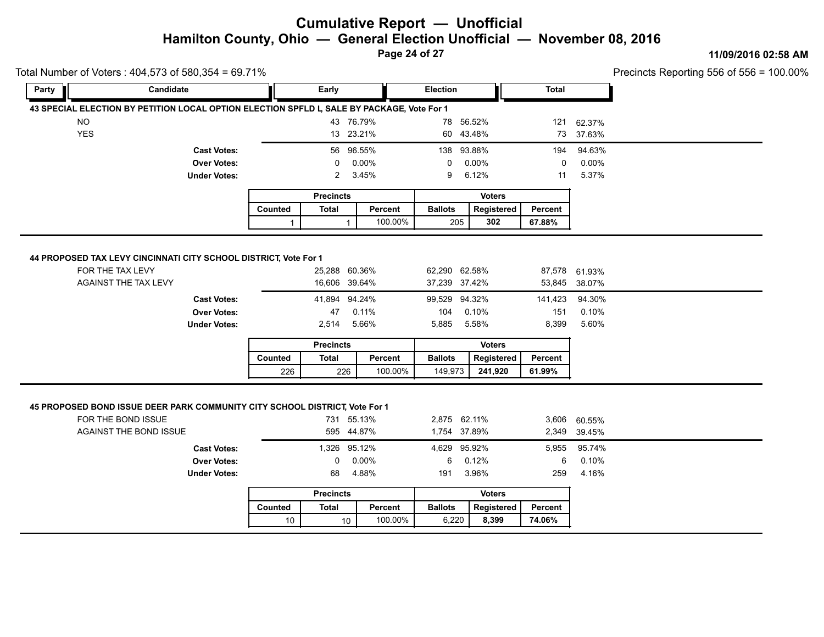**Page 24 of 27**

#### **11/09/2016 02:58 AM**

|                                                                                                                                    |                                                                 |              |                                                     |                   |                                                          |                                 |                            |                                                    | Precincts Reporting 556 of 556 = 2 |
|------------------------------------------------------------------------------------------------------------------------------------|-----------------------------------------------------------------|--------------|-----------------------------------------------------|-------------------|----------------------------------------------------------|---------------------------------|----------------------------|----------------------------------------------------|------------------------------------|
| Party                                                                                                                              | Candidate                                                       |              | Early                                               |                   | <b>Election</b>                                          |                                 | <b>Total</b>               |                                                    |                                    |
| 43 SPECIAL ELECTION BY PETITION LOCAL OPTION ELECTION SPFLD L, SALE BY PACKAGE, Vote For 1                                         |                                                                 |              |                                                     |                   |                                                          |                                 |                            |                                                    |                                    |
| <b>NO</b>                                                                                                                          |                                                                 |              | 43 76.79%                                           |                   | 78 56.52%                                                |                                 | 121                        | 62.37%                                             |                                    |
| <b>YES</b>                                                                                                                         |                                                                 |              | 13 23.21%                                           |                   | 60 43.48%                                                |                                 | 73                         | 37.63%                                             |                                    |
|                                                                                                                                    | <b>Cast Votes:</b>                                              |              | 56 96.55%                                           |                   | 138 93.88%                                               |                                 | 194                        | 94.63%                                             |                                    |
|                                                                                                                                    | <b>Over Votes:</b>                                              |              | 0                                                   | 0.00%             | 0                                                        | 0.00%                           | 0                          | 0.00%                                              |                                    |
|                                                                                                                                    | <b>Under Votes:</b>                                             |              | 2                                                   | 3.45%             | 9                                                        | 6.12%                           | 11                         | 5.37%                                              |                                    |
|                                                                                                                                    |                                                                 |              | <b>Precincts</b>                                    |                   |                                                          | <b>Voters</b>                   |                            |                                                    |                                    |
|                                                                                                                                    |                                                                 | Counted      | <b>Total</b>                                        | Percent           | <b>Ballots</b>                                           | Registered                      | Percent                    |                                                    |                                    |
|                                                                                                                                    |                                                                 | $\mathbf{1}$ |                                                     | 100.00%           | 205                                                      | 302                             | 67.88%                     |                                                    |                                    |
|                                                                                                                                    | <b>Cast Votes:</b><br><b>Over Votes:</b><br><b>Under Votes:</b> |              | 41,894 94.24%<br>47<br>2,514<br><b>Precincts</b>    | 0.11%<br>5.66%    | 99,529 94.32%<br>104<br>5,885                            | 0.10%<br>5.58%<br><b>Voters</b> | 141,423<br>151<br>8,399    | 94.30%<br>0.10%<br>5.60%                           |                                    |
|                                                                                                                                    |                                                                 | Counted      |                                                     |                   |                                                          |                                 |                            |                                                    |                                    |
|                                                                                                                                    |                                                                 |              | <b>Total</b>                                        | Percent           | <b>Ballots</b>                                           | <b>Registered</b>               | Percent                    |                                                    |                                    |
|                                                                                                                                    |                                                                 | 226          | 226                                                 | 100.00%           | 149,973                                                  | 241,920                         | 61.99%                     |                                                    |                                    |
| 45 PROPOSED BOND ISSUE DEER PARK COMMUNITY CITY SCHOOL DISTRICT, Vote For 1<br>FOR THE BOND ISSUE<br><b>AGAINST THE BOND ISSUE</b> | <b>Cast Votes:</b><br><b>Over Votes:</b><br><b>Under Votes:</b> |              | 731 55.13%<br>595 44.87%<br>1,326 95.12%<br>0<br>68 | $0.00\%$<br>4.88% | 2,875 62.11%<br>1,754 37.89%<br>4,629 95.92%<br>6<br>191 | 0.12%<br>3.96%                  | 2,349<br>5,955<br>6<br>259 | 3,606 60.55%<br>39.45%<br>95.74%<br>0.10%<br>4.16% |                                    |

|         | <b>Precincts</b> |         |                | <b>Voters</b> |         |
|---------|------------------|---------|----------------|---------------|---------|
| Counted | Total            | Percent | <b>Ballots</b> | Reaistered    | Percent |
| 10      | 10               | 100.00% | 6.220          | 8.399         | 74.06%  |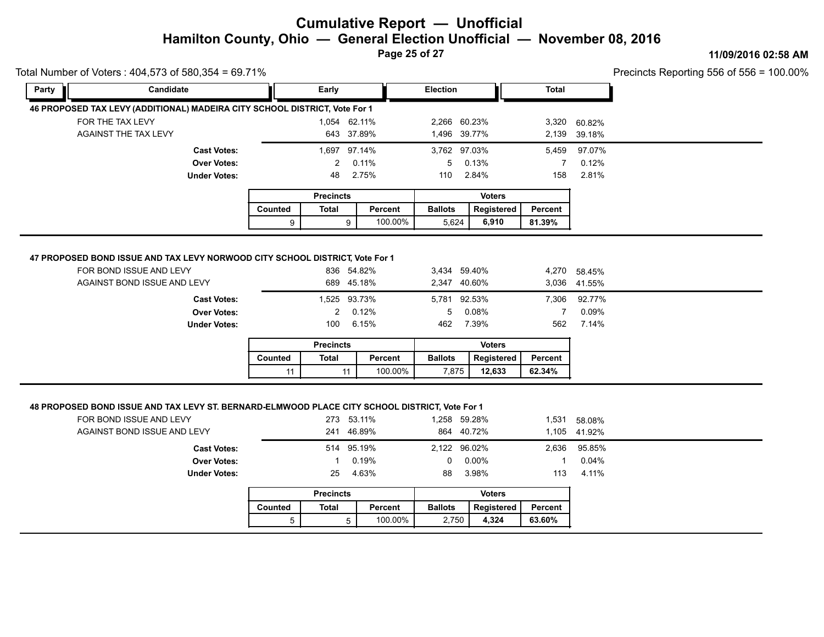**Page 25 of 27**

#### **11/09/2016 02:58 AM**

| Total Number of Voters: 404,573 of 580,354 = 69.71% |                                                                                                                               |         |                                       |                              |                                          |                |                                |                                          |  |
|-----------------------------------------------------|-------------------------------------------------------------------------------------------------------------------------------|---------|---------------------------------------|------------------------------|------------------------------------------|----------------|--------------------------------|------------------------------------------|--|
| Party                                               | Candidate                                                                                                                     |         | Early                                 |                              | Election                                 |                | <b>Total</b>                   |                                          |  |
|                                                     | 46 PROPOSED TAX LEVY (ADDITIONAL) MADEIRA CITY SCHOOL DISTRICT, Vote For 1                                                    |         |                                       |                              |                                          |                |                                |                                          |  |
| FOR THE TAX LEVY                                    |                                                                                                                               |         | 1,054 62.11%                          |                              | 2,266 60.23%                             |                | 3,320                          | 60.82%                                   |  |
| AGAINST THE TAX LEVY                                |                                                                                                                               |         |                                       | 643 37.89%                   | 1,496 39.77%                             |                | 2,139                          | 39.18%                                   |  |
|                                                     | <b>Cast Votes:</b>                                                                                                            |         | 1,697 97.14%                          |                              | 3,762 97.03%                             |                | 5,459                          | 97.07%                                   |  |
|                                                     | <b>Over Votes:</b>                                                                                                            |         | 2                                     | 0.11%                        | 5                                        | 0.13%          | 7                              | 0.12%                                    |  |
|                                                     | <b>Under Votes:</b>                                                                                                           |         | 48                                    | 2.75%                        | 110                                      | 2.84%          | 158                            | 2.81%                                    |  |
|                                                     |                                                                                                                               |         | <b>Precincts</b>                      |                              |                                          | <b>Voters</b>  |                                |                                          |  |
|                                                     |                                                                                                                               | Counted | <b>Total</b>                          | Percent                      | <b>Ballots</b>                           | Registered     | <b>Percent</b>                 |                                          |  |
|                                                     |                                                                                                                               | 9       |                                       | 100.00%<br>9                 | 5,624                                    | 6,910          | 81.39%                         |                                          |  |
| FOR BOND ISSUE AND LEVY                             | 47 PROPOSED BOND ISSUE AND TAX LEVY NORWOOD CITY SCHOOL DISTRICT, Vote For 1                                                  |         |                                       | 836 54.82%                   | 3,434 59.40%                             |                |                                | 4,270 58.45%                             |  |
|                                                     | AGAINST BOND ISSUE AND LEVY<br><b>Cast Votes:</b><br><b>Over Votes:</b><br><b>Under Votes:</b>                                |         | 1,525 93.73%<br>$\overline{2}$<br>100 | 689 45.18%<br>0.12%<br>6.15% | 2,347 40.60%<br>5,781 92.53%<br>5<br>462 | 0.08%<br>7.39% | 7,306<br>$\overline{7}$<br>562 | 3,036 41.55%<br>92.77%<br>0.09%<br>7.14% |  |
|                                                     |                                                                                                                               |         | <b>Precincts</b>                      |                              |                                          | <b>Voters</b>  |                                |                                          |  |
|                                                     |                                                                                                                               | Counted | <b>Total</b>                          | Percent                      | <b>Ballots</b>                           | Registered     | Percent                        |                                          |  |
|                                                     |                                                                                                                               | 11      | 11                                    | 100.00%                      | 7.875                                    | 12,633         | 62.34%                         |                                          |  |
| FOR BOND ISSUE AND LEVY                             | 48 PROPOSED BOND ISSUE AND TAX LEVY ST. BERNARD-ELMWOOD PLACE CITY SCHOOL DISTRICT, Vote For 1<br>AGAINST BOND ISSUE AND LEVY |         |                                       | 273 53.11%<br>241 46.89%     | 1,258 59.28%<br>864 40.72%               |                | 1,531                          | 58.08%<br>1,105 41.92%                   |  |
|                                                     | <b>Cast Votes:</b>                                                                                                            |         |                                       | 514 95.19%                   | 2,122 96.02%                             |                | 2,636                          | 95.85%                                   |  |
|                                                     | <b>Over Votes:</b>                                                                                                            |         | 1                                     | 0.19%                        | $\mathbf 0$                              | $0.00\%$       | 1                              | 0.04%                                    |  |

|         | <b>Precincts</b> |         |                | <b>Voters</b> |         |
|---------|------------------|---------|----------------|---------------|---------|
| Counted | Total            | Percent | <b>Ballots</b> | Reaistered    | Percent |
|         |                  | 100.00% | 2.750          | 4.324         | 63.60%  |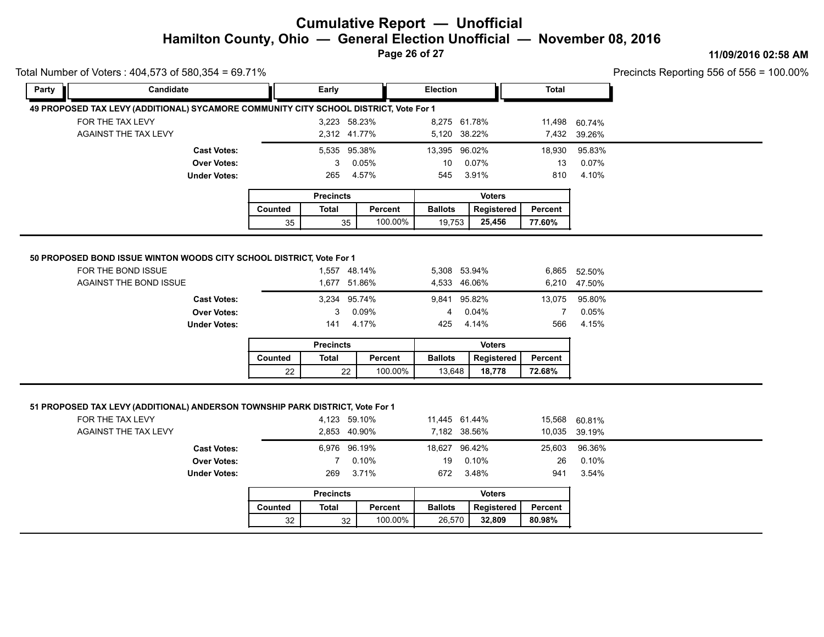**Page 26 of 27**

#### **11/09/2016 02:58 AM**

Precincts Reporting 556 of 556 = 100.00%

| Party | Candidate                                                                                                                 |         | Early                                    |                | Election                                 |                | <b>Total</b>       |                                          |  |
|-------|---------------------------------------------------------------------------------------------------------------------------|---------|------------------------------------------|----------------|------------------------------------------|----------------|--------------------|------------------------------------------|--|
|       | 49 PROPOSED TAX LEVY (ADDITIONAL) SYCAMORE COMMUNITY CITY SCHOOL DISTRICT, Vote For 1                                     |         |                                          |                |                                          |                |                    |                                          |  |
|       | FOR THE TAX LEVY                                                                                                          |         | 3,223 58.23%                             |                | 8,275 61.78%                             |                | 11,498             | 60.74%                                   |  |
|       | AGAINST THE TAX LEVY                                                                                                      |         | 2,312 41.77%                             |                | 5,120 38.22%                             |                |                    | 7,432 39.26%                             |  |
|       | <b>Cast Votes:</b>                                                                                                        |         | 5,535 95.38%                             |                | 13,395 96.02%                            |                | 18,930             | 95.83%                                   |  |
|       | <b>Over Votes:</b>                                                                                                        |         | 3                                        | 0.05%          | 10                                       | 0.07%          | 13                 | 0.07%                                    |  |
|       | <b>Under Votes:</b>                                                                                                       |         | 265                                      | 4.57%          | 545                                      | 3.91%          | 810                | 4.10%                                    |  |
|       |                                                                                                                           |         | <b>Precincts</b>                         |                |                                          | <b>Voters</b>  |                    |                                          |  |
|       |                                                                                                                           | Counted | <b>Total</b>                             | Percent        | <b>Ballots</b>                           | Registered     | <b>Percent</b>     |                                          |  |
|       |                                                                                                                           | 35      | 35                                       | 100.00%        | 19,753                                   | 25,456         | 77.60%             |                                          |  |
|       | <b>AGAINST THE BOND ISSUE</b><br><b>Cast Votes:</b><br><b>Over Votes:</b><br><b>Under Votes:</b>                          |         | 1,677 51.86%<br>3,234 95.74%<br>3<br>141 | 0.09%<br>4.17% | 4,533 46.06%<br>9,841 95.82%<br>4<br>425 | 0.04%<br>4.14% | 13,075<br>7<br>566 | 6,210 47.50%<br>95.80%<br>0.05%<br>4.15% |  |
|       |                                                                                                                           |         | <b>Precincts</b>                         |                |                                          | <b>Voters</b>  |                    |                                          |  |
|       |                                                                                                                           | Counted | <b>Total</b>                             | Percent        | <b>Ballots</b>                           | Registered     | <b>Percent</b>     |                                          |  |
|       |                                                                                                                           | 22      | 22                                       | 100.00%        | 13,648                                   | 18,778         | 72.68%             |                                          |  |
|       | 51 PROPOSED TAX LEVY (ADDITIONAL) ANDERSON TOWNSHIP PARK DISTRICT, Vote For 1<br>FOR THE TAX LEVY<br>AGAINST THE TAX LEVY |         | 4,123 59.10%<br>2,853 40.90%             |                | 11,445 61.44%<br>7,182 38.56%            |                | 15,568<br>10,035   | 60.81%<br>39.19%                         |  |
|       | <b>Cast Votes:</b>                                                                                                        |         | 6,976 96.19%                             |                | 18,627 96.42%                            |                | 25,603             | 96.36%                                   |  |
|       | <b>Over Votes:</b>                                                                                                        |         | 7                                        | 0.10%          | 19                                       | 0.10%          | 26                 | 0.10%                                    |  |

**Under Votes:** 269

Total Number of Voters : 404,573 of 580,354 = 69.71%

|         | <b>Precincts</b> |         |                | <b>Voters</b> |         |
|---------|------------------|---------|----------------|---------------|---------|
| Counted | Total            | Percent | <b>Ballots</b> | Registered    | Percent |
| 32      | 32               | 100.00% | 26.570         | 32.809        | 80.98%  |

3.71% 672 3.48% 941 3.54%

3.48% 3.54%